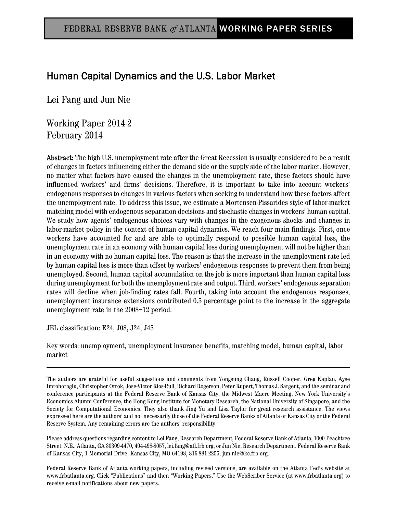# Human Capital Dynamics and the U.S. Labor Market

Lei Fang and Jun Nie

Working Paper 2014-2 February 2014

Abstract: The high U.S. unemployment rate after the Great Recession is usually considered to be a result of changes in factors influencing either the demand side or the supply side of the labor market. However, no matter what factors have caused the changes in the unemployment rate, these factors should have influenced workers' and firms' decisions. Therefore, it is important to take into account workers' endogenous responses to changes in various factors when seeking to understand how these factors affect the unemployment rate. To address this issue, we estimate a Mortensen-Pissarides style of labor-market matching model with endogenous separation decisions and stochastic changes in workers' human capital. We study how agents' endogenous choices vary with changes in the exogenous shocks and changes in labor-market policy in the context of human capital dynamics. We reach four main findings. First, once workers have accounted for and are able to optimally respond to possible human capital loss, the unemployment rate in an economy with human capital loss during unemployment will not be higher than in an economy with no human capital loss. The reason is that the increase in the unemployment rate led by human capital loss is more than offset by workers' endogenous responses to prevent them from being unemployed. Second, human capital accumulation on the job is more important than human capital loss during unemployment for both the unemployment rate and output. Third, workers' endogenous separation rates will decline when job-finding rates fall. Fourth, taking into account the endogenous responses, unemployment insurance extensions contributed 0.5 percentage point to the increase in the aggregate unemployment rate in the 2008–12 period.

JEL classification: E24, J08, J24, J45

Key words: unemployment, unemployment insurance benefits, matching model, human capital, labor market

The authors are grateful for useful suggestions and comments from Yongsung Chang, Russell Cooper, Greg Kaplan, Ayse Imrohoroglu, Christopher Otrok, Jose-Victor Rios-Rull, Richard Rogerson, Peter Rupert, Thomas J. Sargent, and the seminar and conference participants at the Federal Reserve Bank of Kansas City, the Midwest Macro Meeting, New York University's Economics Alumni Conference, the Hong Kong Institute for Monetary Research, the National University of Singapore, and the Society for Computational Economics. They also thank Jing Yu and Lisa Taylor for great research assistance. The views expressed here are the authors' and not necessarily those of the Federal Reserve Banks of Atlanta or Kansas City or the Federal Reserve System. Any remaining errors are the authors' responsibility.

Please address questions regarding content to Lei Fang, Research Department, Federal Reserve Bank of Atlanta, 1000 Peachtree Street, N.E., Atlanta, GA 30309-4470, 404-498-8057, lei.fang@atl.frb.org, or Jun Nie, Research Department, Federal Reserve Bank of Kansas City, 1 Memorial Drive, Kansas City, MO 64198, 816-881-2255, jun.nie@kc.frb.org.

Federal Reserve Bank of Atlanta working papers, including revised versions, are available on the Atlanta Fed's website at www.frbatlanta.org. Click "Publications" and then "Working Papers." Use the WebScriber Service (at www.frbatlanta.org) to receive e-mail notifications about new papers.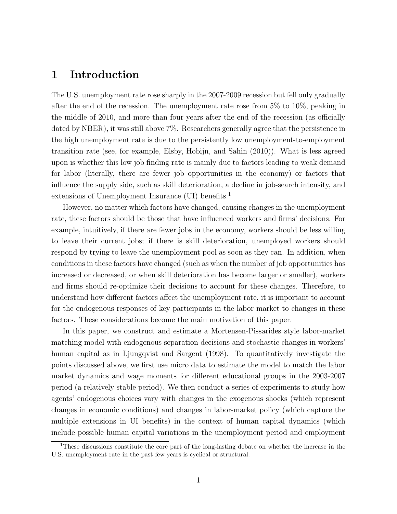# 1 Introduction

The U.S. unemployment rate rose sharply in the 2007-2009 recession but fell only gradually after the end of the recession. The unemployment rate rose from 5% to 10%, peaking in the middle of 2010, and more than four years after the end of the recession (as officially dated by NBER), it was still above 7%. Researchers generally agree that the persistence in the high unemployment rate is due to the persistently low unemployment-to-employment transition rate (see, for example, Elsby, Hobijn, and Sahin (2010)). What is less agreed upon is whether this low job finding rate is mainly due to factors leading to weak demand for labor (literally, there are fewer job opportunities in the economy) or factors that influence the supply side, such as skill deterioration, a decline in job-search intensity, and extensions of Unemployment Insurance (UI) benefits.<sup>1</sup>

However, no matter which factors have changed, causing changes in the unemployment rate, these factors should be those that have influenced workers and firms' decisions. For example, intuitively, if there are fewer jobs in the economy, workers should be less willing to leave their current jobs; if there is skill deterioration, unemployed workers should respond by trying to leave the unemployment pool as soon as they can. In addition, when conditions in these factors have changed (such as when the number of job opportunities has increased or decreased, or when skill deterioration has become larger or smaller), workers and firms should re-optimize their decisions to account for these changes. Therefore, to understand how different factors affect the unemployment rate, it is important to account for the endogenous responses of key participants in the labor market to changes in these factors. These considerations become the main motivation of this paper.

In this paper, we construct and estimate a Mortensen-Pissarides style labor-market matching model with endogenous separation decisions and stochastic changes in workers' human capital as in Ljungqvist and Sargent (1998). To quantitatively investigate the points discussed above, we first use micro data to estimate the model to match the labor market dynamics and wage moments for different educational groups in the 2003-2007 period (a relatively stable period). We then conduct a series of experiments to study how agents' endogenous choices vary with changes in the exogenous shocks (which represent changes in economic conditions) and changes in labor-market policy (which capture the multiple extensions in UI benefits) in the context of human capital dynamics (which include possible human capital variations in the unemployment period and employment

<sup>1</sup>These discussions constitute the core part of the long-lasting debate on whether the increase in the U.S. unemployment rate in the past few years is cyclical or structural.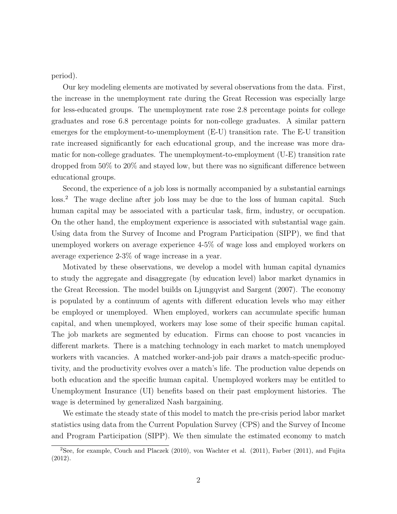period).

Our key modeling elements are motivated by several observations from the data. First, the increase in the unemployment rate during the Great Recession was especially large for less-educated groups. The unemployment rate rose 2.8 percentage points for college graduates and rose 6.8 percentage points for non-college graduates. A similar pattern emerges for the employment-to-unemployment (E-U) transition rate. The E-U transition rate increased significantly for each educational group, and the increase was more dramatic for non-college graduates. The unemployment-to-employment (U-E) transition rate dropped from 50% to 20% and stayed low, but there was no significant difference between educational groups.

Second, the experience of a job loss is normally accompanied by a substantial earnings loss.<sup>2</sup> The wage decline after job loss may be due to the loss of human capital. Such human capital may be associated with a particular task, firm, industry, or occupation. On the other hand, the employment experience is associated with substantial wage gain. Using data from the Survey of Income and Program Participation (SIPP), we find that unemployed workers on average experience 4-5% of wage loss and employed workers on average experience 2-3% of wage increase in a year.

Motivated by these observations, we develop a model with human capital dynamics to study the aggregate and disaggregate (by education level) labor market dynamics in the Great Recession. The model builds on Ljungqvist and Sargent (2007). The economy is populated by a continuum of agents with different education levels who may either be employed or unemployed. When employed, workers can accumulate specific human capital, and when unemployed, workers may lose some of their specific human capital. The job markets are segmented by education. Firms can choose to post vacancies in different markets. There is a matching technology in each market to match unemployed workers with vacancies. A matched worker-and-job pair draws a match-specific productivity, and the productivity evolves over a match's life. The production value depends on both education and the specific human capital. Unemployed workers may be entitled to Unemployment Insurance (UI) benefits based on their past employment histories. The wage is determined by generalized Nash bargaining.

We estimate the steady state of this model to match the pre-crisis period labor market statistics using data from the Current Population Survey (CPS) and the Survey of Income and Program Participation (SIPP). We then simulate the estimated economy to match

<sup>2</sup>See, for example, Couch and Placzek (2010), von Wachter et al. (2011), Farber (2011), and Fujita (2012).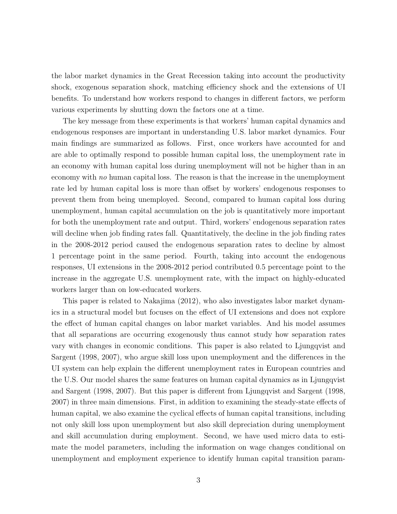the labor market dynamics in the Great Recession taking into account the productivity shock, exogenous separation shock, matching efficiency shock and the extensions of UI benefits. To understand how workers respond to changes in different factors, we perform various experiments by shutting down the factors one at a time.

The key message from these experiments is that workers' human capital dynamics and endogenous responses are important in understanding U.S. labor market dynamics. Four main findings are summarized as follows. First, once workers have accounted for and are able to optimally respond to possible human capital loss, the unemployment rate in an economy with human capital loss during unemployment will not be higher than in an economy with no human capital loss. The reason is that the increase in the unemployment rate led by human capital loss is more than offset by workers' endogenous responses to prevent them from being unemployed. Second, compared to human capital loss during unemployment, human capital accumulation on the job is quantitatively more important for both the unemployment rate and output. Third, workers' endogenous separation rates will decline when job finding rates fall. Quantitatively, the decline in the job finding rates in the 2008-2012 period caused the endogenous separation rates to decline by almost 1 percentage point in the same period. Fourth, taking into account the endogenous responses, UI extensions in the 2008-2012 period contributed 0.5 percentage point to the increase in the aggregate U.S. unemployment rate, with the impact on highly-educated workers larger than on low-educated workers.

This paper is related to Nakajima (2012), who also investigates labor market dynamics in a structural model but focuses on the effect of UI extensions and does not explore the effect of human capital changes on labor market variables. And his model assumes that all separations are occurring exogenously thus cannot study how separation rates vary with changes in economic conditions. This paper is also related to Ljungqvist and Sargent (1998, 2007), who argue skill loss upon unemployment and the differences in the UI system can help explain the different unemployment rates in European countries and the U.S. Our model shares the same features on human capital dynamics as in Ljungqvist and Sargent (1998, 2007). But this paper is different from Ljungqvist and Sargent (1998, 2007) in three main dimensions. First, in addition to examining the steady-state effects of human capital, we also examine the cyclical effects of human capital transitions, including not only skill loss upon unemployment but also skill depreciation during unemployment and skill accumulation during employment. Second, we have used micro data to estimate the model parameters, including the information on wage changes conditional on unemployment and employment experience to identify human capital transition param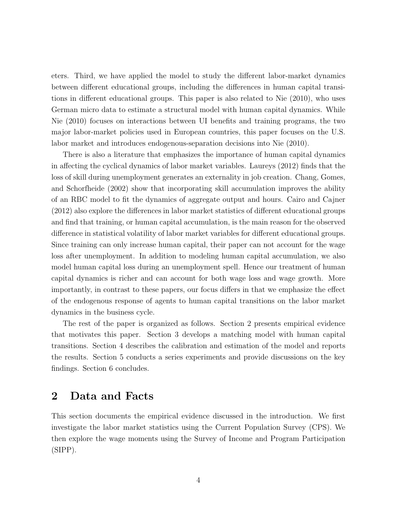eters. Third, we have applied the model to study the different labor-market dynamics between different educational groups, including the differences in human capital transitions in different educational groups. This paper is also related to Nie (2010), who uses German micro data to estimate a structural model with human capital dynamics. While Nie (2010) focuses on interactions between UI benefits and training programs, the two major labor-market policies used in European countries, this paper focuses on the U.S. labor market and introduces endogenous-separation decisions into Nie (2010).

There is also a literature that emphasizes the importance of human capital dynamics in affecting the cyclical dynamics of labor market variables. Laureys (2012) finds that the loss of skill during unemployment generates an externality in job creation. Chang, Gomes, and Schorfheide (2002) show that incorporating skill accumulation improves the ability of an RBC model to fit the dynamics of aggregate output and hours. Cairo and Cajner (2012) also explore the differences in labor market statistics of different educational groups and find that training, or human capital accumulation, is the main reason for the observed difference in statistical volatility of labor market variables for different educational groups. Since training can only increase human capital, their paper can not account for the wage loss after unemployment. In addition to modeling human capital accumulation, we also model human capital loss during an unemployment spell. Hence our treatment of human capital dynamics is richer and can account for both wage loss and wage growth. More importantly, in contrast to these papers, our focus differs in that we emphasize the effect of the endogenous response of agents to human capital transitions on the labor market dynamics in the business cycle.

The rest of the paper is organized as follows. Section 2 presents empirical evidence that motivates this paper. Section 3 develops a matching model with human capital transitions. Section 4 describes the calibration and estimation of the model and reports the results. Section 5 conducts a series experiments and provide discussions on the key findings. Section 6 concludes.

# 2 Data and Facts

This section documents the empirical evidence discussed in the introduction. We first investigate the labor market statistics using the Current Population Survey (CPS). We then explore the wage moments using the Survey of Income and Program Participation (SIPP).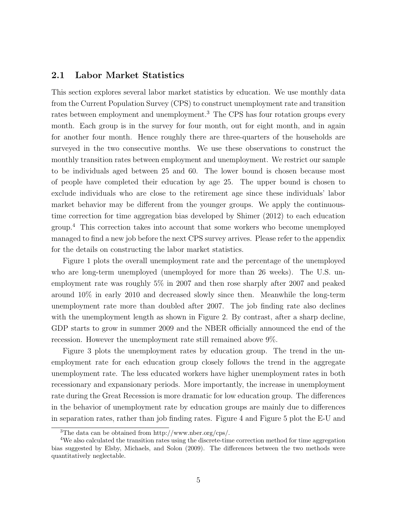# 2.1 Labor Market Statistics

This section explores several labor market statistics by education. We use monthly data from the Current Population Survey (CPS) to construct unemployment rate and transition rates between employment and unemployment.<sup>3</sup> The CPS has four rotation groups every month. Each group is in the survey for four month, out for eight month, and in again for another four month. Hence roughly there are three-quarters of the households are surveyed in the two consecutive months. We use these observations to construct the monthly transition rates between employment and unemployment. We restrict our sample to be individuals aged between 25 and 60. The lower bound is chosen because most of people have completed their education by age 25. The upper bound is chosen to exclude individuals who are close to the retirement age since these individuals' labor market behavior may be different from the younger groups. We apply the continuoustime correction for time aggregation bias developed by Shimer (2012) to each education group.<sup>4</sup> This correction takes into account that some workers who become unemployed managed to find a new job before the next CPS survey arrives. Please refer to the appendix for the details on constructing the labor market statistics.

Figure 1 plots the overall unemployment rate and the percentage of the unemployed who are long-term unemployed (unemployed for more than 26 weeks). The U.S. unemployment rate was roughly 5% in 2007 and then rose sharply after 2007 and peaked around 10% in early 2010 and decreased slowly since then. Meanwhile the long-term unemployment rate more than doubled after 2007. The job finding rate also declines with the unemployment length as shown in Figure 2. By contrast, after a sharp decline, GDP starts to grow in summer 2009 and the NBER officially announced the end of the recession. However the unemployment rate still remained above 9%.

Figure 3 plots the unemployment rates by education group. The trend in the unemployment rate for each education group closely follows the trend in the aggregate unemployment rate. The less educated workers have higher unemployment rates in both recessionary and expansionary periods. More importantly, the increase in unemployment rate during the Great Recession is more dramatic for low education group. The differences in the behavior of unemployment rate by education groups are mainly due to differences in separation rates, rather than job finding rates. Figure 4 and Figure 5 plot the E-U and

<sup>3</sup>The data can be obtained from http://www.nber.org/cps/.

<sup>&</sup>lt;sup>4</sup>We also calculated the transition rates using the discrete-time correction method for time aggregation bias suggested by Elsby, Michaels, and Solon (2009). The differences between the two methods were quantitatively neglectable.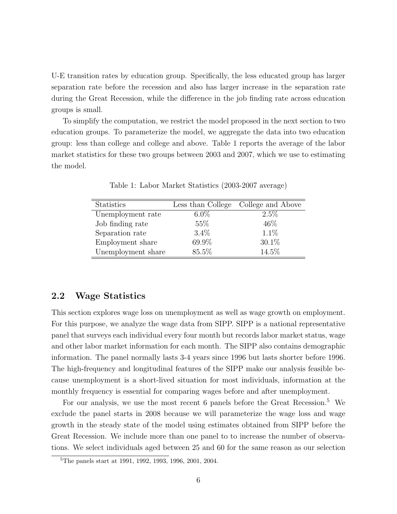U-E transition rates by education group. Specifically, the less educated group has larger separation rate before the recession and also has larger increase in the separation rate during the Great Recession, while the difference in the job finding rate across education groups is small.

To simplify the computation, we restrict the model proposed in the next section to two education groups. To parameterize the model, we aggregate the data into two education group: less than college and college and above. Table 1 reports the average of the labor market statistics for these two groups between 2003 and 2007, which we use to estimating the model.

| <b>Statistics</b>  |         | Less than College College and Above |
|--------------------|---------|-------------------------------------|
| Unemployment rate  | $6.0\%$ | $2.5\%$                             |
| Job finding rate   | 55%     | 46\%                                |
| Separation rate    | $3.4\%$ | 1.1%                                |
| Employment share   | 69.9%   | 30.1%                               |
| Unemployment share | 85.5%   | 14.5%                               |

Table 1: Labor Market Statistics (2003-2007 average)

### 2.2 Wage Statistics

This section explores wage loss on unemployment as well as wage growth on employment. For this purpose, we analyze the wage data from SIPP. SIPP is a national representative panel that surveys each individual every four month but records labor market status, wage and other labor market information for each month. The SIPP also contains demographic information. The panel normally lasts 3-4 years since 1996 but lasts shorter before 1996. The high-frequency and longitudinal features of the SIPP make our analysis feasible because unemployment is a short-lived situation for most individuals, information at the monthly frequency is essential for comparing wages before and after unemployment.

For our analysis, we use the most recent 6 panels before the Great Recession.<sup>5</sup> We exclude the panel starts in 2008 because we will parameterize the wage loss and wage growth in the steady state of the model using estimates obtained from SIPP before the Great Recession. We include more than one panel to to increase the number of observations. We select individuals aged between 25 and 60 for the same reason as our selection

<sup>5</sup>The panels start at 1991, 1992, 1993, 1996, 2001, 2004.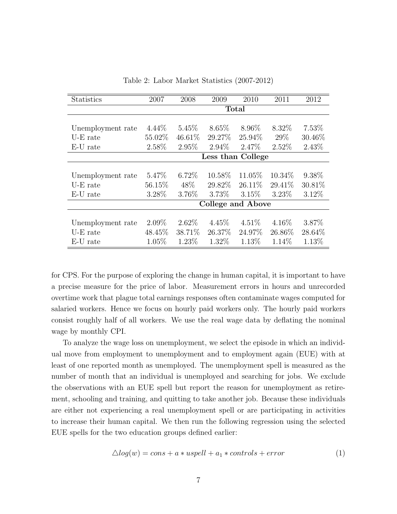| Statistics        | 2007              | 2008      | 2009     | 2010              | 2011     | 2012   |  |  |
|-------------------|-------------------|-----------|----------|-------------------|----------|--------|--|--|
|                   |                   |           |          | <b>Total</b>      |          |        |  |  |
|                   |                   |           |          |                   |          |        |  |  |
| Unemployment rate | $4.44\%$          | $5.45\%$  | $8.65\%$ | 8.96\%            | 8.32\%   | 7.53%  |  |  |
| U-E rate          | 55.02%            | $46.61\%$ | 29.27%   | 25.94%            | 29\%     | 30.46% |  |  |
| E-U rate          | 2.58%             | $2.95\%$  | $2.94\%$ | 2.47%             | $2.52\%$ | 2.43%  |  |  |
|                   | Less than College |           |          |                   |          |        |  |  |
|                   |                   |           |          |                   |          |        |  |  |
| Unemployment rate | 5.47\%            | $6.72\%$  | 10.58\%  | 11.05%            | 10.34\%  | 9.38%  |  |  |
| $U-E$ rate        | 56.15%            | 48\%      | 29.82%   | 26.11\%           | 29.41%   | 30.81% |  |  |
| E-U rate          | 3.28%             | 3.76%     | 3.73\%   | 3.15%             | $3.23\%$ | 3.12%  |  |  |
|                   |                   |           |          | College and Above |          |        |  |  |
|                   |                   |           |          |                   |          |        |  |  |
| Unemployment rate | $2.09\%$          | $2.62\%$  | $4.45\%$ | $4.51\%$          | $4.16\%$ | 3.87%  |  |  |
| U-E rate          | 48.45\%           | 38.71%    | 26.37%   | 24.97%            | 26.86%   | 28.64% |  |  |
| E-U rate          | 1.05%             | 1.23%     | 1.32%    | 1.13%             | 1.14\%   | 1.13%  |  |  |

Table 2: Labor Market Statistics (2007-2012)

for CPS. For the purpose of exploring the change in human capital, it is important to have a precise measure for the price of labor. Measurement errors in hours and unrecorded overtime work that plague total earnings responses often contaminate wages computed for salaried workers. Hence we focus on hourly paid workers only. The hourly paid workers consist roughly half of all workers. We use the real wage data by deflating the nominal wage by monthly CPI.

To analyze the wage loss on unemployment, we select the episode in which an individual move from employment to unemployment and to employment again (EUE) with at least of one reported month as unemployed. The unemployment spell is measured as the number of month that an individual is unemployed and searching for jobs. We exclude the observations with an EUE spell but report the reason for unemployment as retirement, schooling and training, and quitting to take another job. Because these individuals are either not experiencing a real unemployment spell or are participating in activities to increase their human capital. We then run the following regression using the selected EUE spells for the two education groups defined earlier:

$$
\triangle log(w) = cons + a * uspell + a_1 * controls + error
$$
\n(1)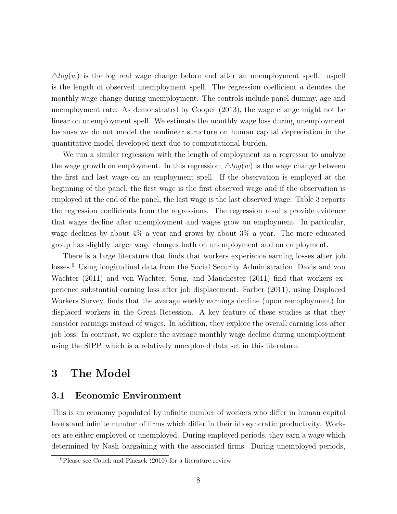$\triangle log(w)$  is the log real wage change before and after an unemployment spell. uspell is the length of observed unemployment spell. The regression coefficient a denotes the monthly wage change during unemployment. The controls include panel dummy, age and unemployment rate. As demonstrated by Cooper (2013), the wage change might not be linear on unemployment spell. We estimate the monthly wage loss during unemployment because we do not model the nonlinear structure on human capital depreciation in the quantitative model developed next due to computational burden.

We run a similar regression with the length of employment as a regressor to analyze the wage growth on employment. In this regression,  $\triangle log(w)$  is the wage change between the first and last wage on an employment spell. If the observation is employed at the beginning of the panel, the first wage is the first observed wage and if the observation is employed at the end of the panel, the last wage is the last observed wage. Table 3 reports the regression coefficients from the regressions. The regression results provide evidence that wages decline after unemployment and wages grow on employment. In particular, wage declines by about 4% a year and grows by about 3% a year. The more educated group has slightly larger wage changes both on unemployment and on employment.

There is a large literature that finds that workers experience earning losses after job losses.<sup>6</sup> Using longitudinal data from the Social Security Administration, Davis and von Wachter (2011) and von Wachter, Song, and Manchester (2011) find that workers experience substantial earning loss after job displacement. Farber (2011), using Displaced Workers Survey, finds that the average weekly earnings decline (upon reemployment) for displaced workers in the Great Recession. A key feature of these studies is that they consider earnings instead of wages. In addition, they explore the overall earning loss after job loss. In contrast, we explore the average monthly wage decline during unemployment using the SIPP, which is a relatively unexplored data set in this literature.

# 3 The Model

## 3.1 Economic Environment

This is an economy populated by infinite number of workers who differ in human capital levels and infinite number of firms which differ in their idiosyncratic productivity. Workers are either employed or unemployed. During employed periods, they earn a wage which determined by Nash bargaining with the associated firms. During unemployed periods,

<sup>6</sup>Please see Couch and Placzek (2010) for a literature review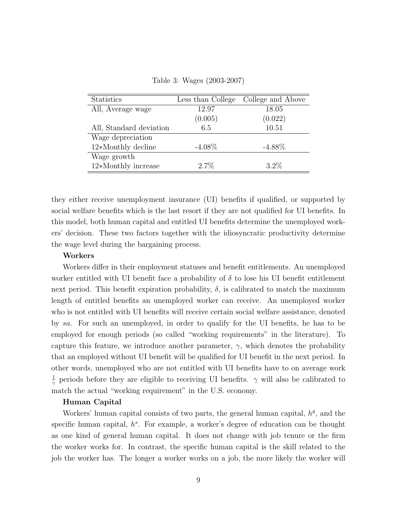Table 3: Wages (2003-2007)

| <b>Statistics</b>       | Less than College | College and Above |
|-------------------------|-------------------|-------------------|
| All, Average wage       | 12.97             | 18.05             |
|                         | (0.005)           | (0.022)           |
| All, Standard deviation | 6.5               | 10.51             |
| Wage depreciation       |                   |                   |
| $12*Monthly$ decline    | $-4.08\%$         | $-4.88\%$         |
| Wage growth             |                   |                   |
| 12*Monthly increase     | $2.7\%$           | $3.2\%$           |

they either receive unemployment insurance (UI) benefits if qualified, or supported by social welfare benefits which is the last resort if they are not qualified for UI benefits. In this model, both human capital and entitled UI benefits determine the unemployed workers' decision. These two factors together with the idiosyncratic productivity determine the wage level during the bargaining process.

### Workers

Workers differ in their employment statuses and benefit entitlements. An unemployed worker entitled with UI benefit face a probability of  $\delta$  to lose his UI benefit entitlement next period. This benefit expiration probability,  $\delta$ , is calibrated to match the maximum length of entitled benefits an unemployed worker can receive. An unemployed worker who is not entitled with UI benefits will receive certain social welfare assistance, denoted by sa. For such an unemployed, in order to qualify for the UI benefits, he has to be employed for enough periods (so called "working requirements" in the literature). To capture this feature, we introduce another parameter,  $\gamma$ , which denotes the probability that an employed without UI benefit will be qualified for UI benefit in the next period. In other words, unemployed who are not entitled with UI benefits have to on average work 1  $\frac{1}{\gamma}$  periods before they are eligible to receiving UI benefits.  $\gamma$  will also be calibrated to match the actual "working requirement" in the U.S. economy.

### Human Capital

Workers' human capital consists of two parts, the general human capital,  $h<sup>g</sup>$ , and the specific human capital,  $h^s$ . For example, a worker's degree of education can be thought as one kind of general human capital. It does not change with job tenure or the firm the worker works for. In contrast, the specific human capital is the skill related to the job the worker has. The longer a worker works on a job, the more likely the worker will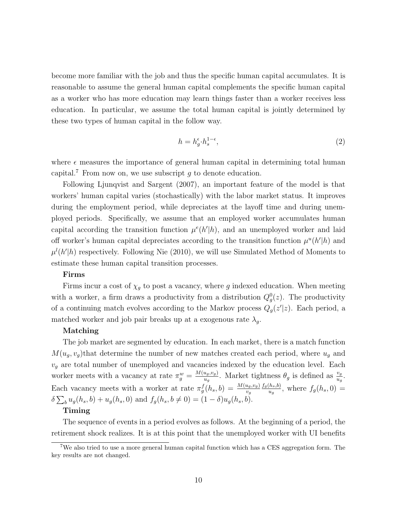become more familiar with the job and thus the specific human capital accumulates. It is reasonable to assume the general human capital complements the specific human capital as a worker who has more education may learn things faster than a worker receives less education. In particular, we assume the total human capital is jointly determined by these two types of human capital in the follow way.

$$
h = h_g^{\epsilon} \cdot h_s^{1-\epsilon},\tag{2}
$$

where  $\epsilon$  measures the importance of general human capital in determining total human capital.<sup>7</sup> From now on, we use subscript  $g$  to denote education.

Following Ljunqvist and Sargent (2007), an important feature of the model is that workers' human capital varies (stochastically) with the labor market status. It improves during the employment period, while depreciates at the layoff time and during unemployed periods. Specifically, we assume that an employed worker accumulates human capital according the transition function  $\mu^{e}(h'|h)$ , and an unemployed worker and laid off worker's human capital depreciates according to the transition function  $\mu^u(h'|h)$  and  $\mu^{l}(h'|h)$  respectively. Following Nie (2010), we will use Simulated Method of Moments to estimate these human capital transition processes.

### Firms

Firms incur a cost of  $\chi_g$  to post a vacancy, where g indexed education. When meeting with a worker, a firm draws a productivity from a distribution  $Q_g^0(z)$ . The productivity of a continuing match evolves according to the Markov process  $Q_g(z'|z)$ . Each period, a matched worker and job pair breaks up at a exogenous rate  $\lambda_g$ .

### Matching

The job market are segmented by education. In each market, there is a match function  $M(u_g, v_g)$ that determine the number of new matches created each period, where  $u_g$  and  $v<sub>g</sub>$  are total number of unemployed and vacancies indexed by the education level. Each worker meets with a vacancy at rate  $\pi_g^w = \frac{M(u_g, v_g)}{u_g}$  $\frac{u_g, v_g}{u_g}$ . Market tightness  $\theta_g$  is defined as  $\frac{v_g}{u_g}$ . Each vacancy meets with a worker at rate  $\pi_g^f(h_s, b) = \frac{M(u_g, v_g)}{v_g}$  $f_g(h_s,b)$  $\frac{(h_s, b)}{u_g}$ , where  $f_g(h_s, 0) =$  $\delta \sum_b u_g(h_s, b) + u_g(h_s, 0)$  and  $f_g(h_s, b \neq 0) = (1 - \delta)u_g(h_s, b)$ .

### Timing

The sequence of events in a period evolves as follows. At the beginning of a period, the retirement shock realizes. It is at this point that the unemployed worker with UI benefits

<sup>7</sup>We also tried to use a more general human capital function which has a CES aggregation form. The key results are not changed.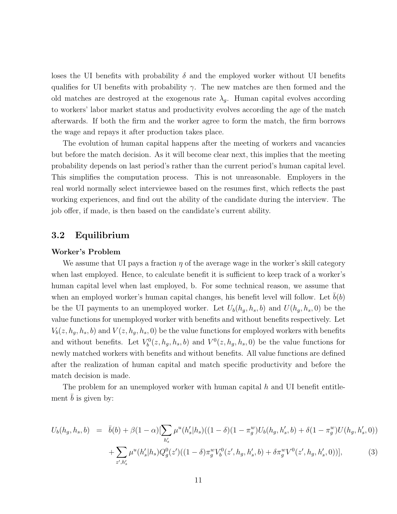loses the UI benefits with probability  $\delta$  and the employed worker without UI benefits qualifies for UI benefits with probability  $\gamma$ . The new matches are then formed and the old matches are destroyed at the exogenous rate  $\lambda_g$ . Human capital evolves according to workers' labor market status and productivity evolves according the age of the match afterwards. If both the firm and the worker agree to form the match, the firm borrows the wage and repays it after production takes place.

The evolution of human capital happens after the meeting of workers and vacancies but before the match decision. As it will become clear next, this implies that the meeting probability depends on last period's rather than the current period's human capital level. This simplifies the computation process. This is not unreasonable. Employers in the real world normally select interviewee based on the resumes first, which reflects the past working experiences, and find out the ability of the candidate during the interview. The job offer, if made, is then based on the candidate's current ability.

## 3.2 Equilibrium

#### Worker's Problem

We assume that UI pays a fraction  $\eta$  of the average wage in the worker's skill category when last employed. Hence, to calculate benefit it is sufficient to keep track of a worker's human capital level when last employed, b. For some technical reason, we assume that when an employed worker's human capital changes, his benefit level will follow. Let  $b(b)$ be the UI payments to an unemployed worker. Let  $U_b(h_q, h_s, b)$  and  $U(h_q, h_s, 0)$  be the value functions for unemployed worker with benefits and without benefits respectively. Let  $V_b(z, h_g, h_s, b)$  and  $V(z, h_g, h_s, 0)$  be the value functions for employed workers with benefits and without benefits. Let  $V_b^0(z, h_g, h_s, b)$  and  $V^0(z, h_g, h_s, 0)$  be the value functions for newly matched workers with benefits and without benefits. All value functions are defined after the realization of human capital and match specific productivity and before the match decision is made.

The problem for an unemployed worker with human capital  $h$  and UI benefit entitlement  $b$  is given by:

$$
U_b(h_g, h_s, b) = \bar{b}(b) + \beta(1 - \alpha) \left[ \sum_{h'_s} \mu^u(h'_s | h_s) \left( (1 - \delta)(1 - \pi_g^w) U_b(h_g, h'_s, b) + \delta(1 - \pi_g^w) U(h_g, h'_s, 0) \right) \right] + \sum_{z', h'_s} \mu^u(h'_s | h_s) Q_g^0(z') \left( (1 - \delta) \pi_g^w V_b^0(z', h_g, h'_s, b) + \delta \pi_g^w V^0(z', h_g, h'_s, 0) \right), \tag{3}
$$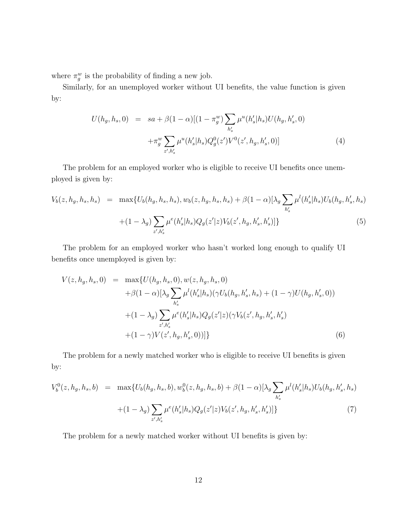where  $\pi_g^w$  is the probability of finding a new job.

Similarly, for an unemployed worker without UI benefits, the value function is given by:

$$
U(h_g, h_s, 0) = sa + \beta (1 - \alpha) [(1 - \pi_g^w) \sum_{h'_s} \mu^u(h'_s | h_s) U(h_g, h'_s, 0)
$$
  
 
$$
+ \pi_g^w \sum_{z', h'_s} \mu^u(h'_s | h_s) Q_g^0(z') V^0(z', h_g, h'_s, 0)] \tag{4}
$$

The problem for an employed worker who is eligible to receive UI benefits once unemployed is given by:

$$
V_b(z, h_g, h_s, h_s) = \max \{ U_b(h_g, h_s, h_s), w_b(z, h_g, h_s, h_s) + \beta (1 - \alpha) [\lambda_g \sum_{h'_s} \mu^l(h'_s | h_s) U_b(h_g, h'_s, h_s) + (1 - \lambda_g) \sum_{z', h'_s} \mu^e(h'_s | h_s) Q_g(z' | z) V_b(z', h_g, h'_s, h'_s)] \}
$$
(5)

The problem for an employed worker who hasn't worked long enough to qualify UI benefits once unemployed is given by:

$$
V(z, h_g, h_s, 0) = \max \{ U(h_g, h_s, 0), w(z, h_g, h_s, 0) + \beta (1 - \alpha) [\lambda_g \sum_{h'_s} \mu^l(h'_s | h_s) (\gamma U_b(h_g, h'_s, h_s) + (1 - \gamma) U(h_g, h'_s, 0)) + (1 - \lambda_g) \sum_{z', h'_s} \mu^e(h'_s | h_s) Q_g(z' | z) (\gamma V_b(z', h_g, h'_s, h'_s) + (1 - \gamma) V(z', h_g, h'_s, 0)) ] \}
$$
(6)

The problem for a newly matched worker who is eligible to receive UI benefits is given by:

$$
V_b^0(z, h_g, h_s, b) = \max \{ U_b(h_g, h_s, b), w_b^0(z, h_g, h_s, b) + \beta (1 - \alpha) [\lambda_g \sum_{h'_s} \mu^l(h'_s | h_s) U_b(h_g, h'_s, h_s) + (1 - \lambda_g) \sum_{z', h'_s} \mu^e(h'_s | h_s) Q_g(z' | z) V_b(z', h_g, h'_s, h'_s)] \}
$$
(7)

The problem for a newly matched worker without UI benefits is given by: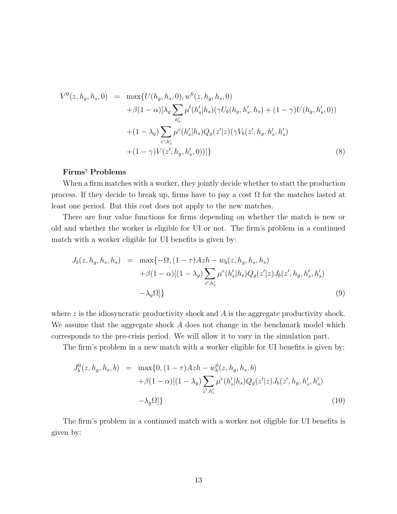$$
V^{0}(z, h_{g}, h_{s}, 0) = \max \{ U(h_{g}, h_{s}, 0), w^{0}(z, h_{g}, h_{s}, 0) + \beta(1 - \alpha)[\lambda_{g} \sum_{h'_{s}} \mu^{l}(h'_{s}|h_{s}) (\gamma U_{b}(h_{g}, h'_{s}, h_{s}) + (1 - \gamma)U(h_{g}, h'_{s}, 0)) + (1 - \lambda_{g}) \sum_{z', h'_{s}} \mu^{e}(h'_{s}|h_{s}) Q_{g}(z'|z) (\gamma V_{b}(z', h_{g}, h'_{s}, h'_{s}) + (1 - \gamma)V(z', h_{g}, h'_{s}, 0)) ] \}
$$
(8)

### Firms' Problems

When a firm matches with a worker, they jointly decide whether to start the production process. If they decide to break up, firms have to pay a cost  $\Omega$  for the matches lasted at least one period. But this cost does not apply to the new matches.

There are four value functions for firms depending on whether the match is new or old and whether the worker is eligible for UI or not. The firm's problem in a continued match with a worker eligible for UI benefits is given by:

$$
J_b(z, h_g, h_s, h_s) = \max\{-\Omega, (1-\tau)Azh - w_b(z, h_g, h_s, h_s) + \beta(1-\alpha)[(1-\lambda_g) \sum_{z',h'_s} \mu^e(h'_s|h_s)Q_g(z'|z)J_b(z', h_g, h'_s, h'_s) - \lambda_g \Omega]\}
$$
(9)

where  $z$  is the idiosyncratic productivity shock and  $A$  is the aggregate productivity shock. We assume that the aggregate shock A does not change in the benchmark model which corresponds to the pre-crisis period. We will allow it to vary in the simulation part.

The firm's problem in a new match with a worker eligible for UI benefits is given by:

$$
J_b^0(z, h_g, h_s, b) = \max\{0, (1 - \tau)Azh - w_b^0(z, h_g, h_s, b) + \beta(1 - \alpha)[(1 - \lambda_g) \sum_{z', h'_s} \mu^e(h'_s | h_s) Q_g(z'|z) J_b(z', h_g, h'_s, h'_s) - \lambda_g \Omega]\}
$$
(10)

The firm's problem in a continued match with a worker not eligible for UI benefits is given by: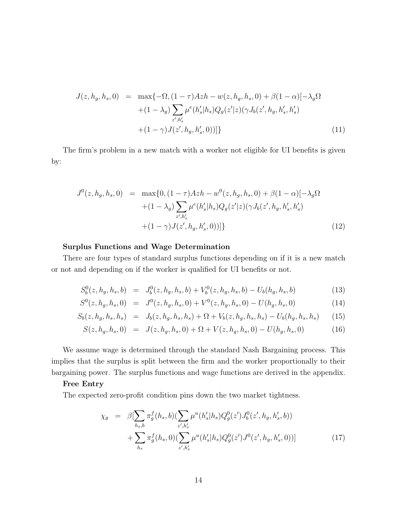$$
J(z, h_g, h_s, 0) = \max\{-\Omega, (1 - \tau)Azh - w(z, h_g, h_s, 0) + \beta(1 - \alpha)[-\lambda_g\Omega + (1 - \lambda_g) \sum_{z', h'_s} \mu^e(h'_s | h_s) Q_g(z'|z) (\gamma J_b(z', h_g, h'_s, h'_s) + (1 - \gamma)J(z', h_g, h'_s, 0))]\}
$$
\n
$$
(11)
$$

The firm's problem in a new match with a worker not eligible for UI benefits is given by:

$$
J^{0}(z, h_{g}, h_{s}, 0) = \max\{0, (1 - \tau)Azh - w^{0}(z, h_{g}, h_{s}, 0) + \beta(1 - \alpha)[-\lambda_{g}\Omega + (1 - \lambda_{g})\sum_{z', h'_{s}}\mu^{e}(h'_{s}|h_{s})Q_{g}(z'|z)(\gamma J_{b}(z', h_{g}, h'_{s}, h'_{s}) + (1 - \gamma)J(z', h_{g}, h'_{s}, 0))]\}
$$
\n
$$
(12)
$$

### Surplus Functions and Wage Determination

There are four types of standard surplus functions depending on if it is a new match or not and depending on if the worker is qualified for UI benefits or not.

$$
S_b^0(z, h_g, h_s, b) = J_b^0(z, h_g, h_s, b) + V_b^0(z, h_g, h_s, b) - U_b(h_g, h_s, b)
$$
\n(13)

$$
S^{0}(z, h_{g}, h_{s}, 0) = J^{0}(z, h_{g}, h_{s}, 0) + V^{0}(z, h_{g}, h_{s}, 0) - U(h_{g}, h_{s}, 0)
$$
\n(14)

$$
S_b(z, h_g, h_s, h_s) = J_b(z, h_g, h_s, h_s) + \Omega + V_b(z, h_g, h_s, h_s) - U_b(h_g, h_s, h_s)
$$
 (15)

$$
S(z, h_g, h_s, 0) = J(z, h_g, h_s, 0) + \Omega + V(z, h_g, h_s, 0) - U(h_g, h_s, 0)
$$
\n(16)

We assume wage is determined through the standard Nash Bargaining process. This implies that the surplus is split between the firm and the worker proportionally to their bargaining power. The surplus functions and wage functions are derived in the appendix.

#### Free Entry

The expected zero-profit condition pins down the two market tightness.

$$
\chi_g = \beta \left[ \sum_{h_s, b} \pi_g^f(h_s, b) \left( \sum_{z', h'_s} \mu^u(h'_s | h_s) Q_g^0(z') J_b^0(z', h_g, h'_s, b) \right) \right] + \sum_{h_s} \pi_g^f(h_s, 0) \left( \sum_{z', h'_s} \mu^u(h'_s | h_s) Q_g^0(z') J^0(z', h_g, h'_s, 0) \right)
$$
\n(17)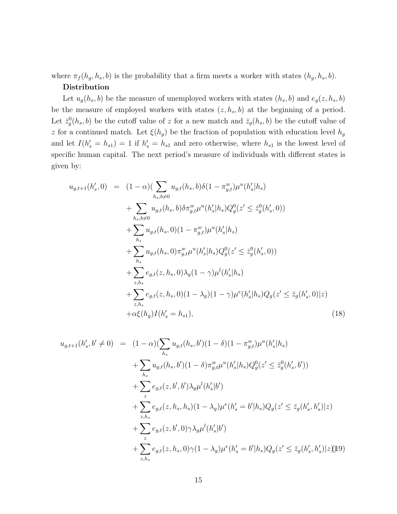where  $\pi_f(h_g, h_s, b)$  is the probability that a firm meets a worker with states  $(h_g, h_s, b)$ . Distribution

Let  $u_g(h_s, b)$  be the measure of unemployed workers with states  $(h_s, b)$  and  $e_g(z, h_s, b)$ be the measure of employed workers with states  $(z, h_s, b)$  at the beginning of a period. Let  $\bar{z}_g^0(h_s, b)$  be the cutoff value of z for a new match and  $\bar{z}_g(h_s, b)$  be the cutoff value of z for a continued match. Let  $\xi(h_g)$  be the fraction of population with education level  $h_g$ and let  $I(h'_{s} = h_{s1}) = 1$  if  $h'_{s} = h_{s1}$  and zero otherwise, where  $h_{s1}$  is the lowest level of specific human capital. The next period's measure of individuals with different states is given by:

$$
u_{g,t+1}(h'_{s},0) = (1-\alpha)(\sum_{h_s,b\neq 0} u_{g,t}(h_s,b)\delta(1-\pi_{g,t}^w)\mu^u(h'_s|h_s) + \sum_{h_s,b\neq 0} u_{g,t}(h_s,b)\delta\pi_{g,t}^w\mu^u(h'_s|h_s)Q_g^0(z' \leq \bar{z}_g^0(h'_s,0)) + \sum_{h_s} u_{g,t}(h_s,0)(1-\pi_{g,t}^w)\mu^u(h'_s|h_s) + \sum_{h_s} u_{g,t}(h_s,0)\pi_{g,t}^w\mu^u(h'_s|h_s)Q_g^0(z' \leq \bar{z}_g^0(h'_s,0)) + \sum_{z,h_s} e_{g,t}(z,h_s,0)\lambda_g(1-\gamma)\mu^l(h'_s|h_s) + \sum_{z,h_s} e_{g,t}(z,h_s,0)(1-\lambda_g)(1-\gamma)\mu^e(h'_s|h_s)Q_g(z' \leq \bar{z}_g(h'_s,0)|z) + \alpha\xi(h_g)I(h'_s = h_{s1}),
$$
\n(18)

$$
u_{g,t+1}(h'_s, b' \neq 0) = (1 - \alpha)(\sum_{h_s} u_{g,t}(h_s, b')(1 - \delta)(1 - \pi_{g,t}^w) \mu^u(h'_s | h_s)
$$
  
+ 
$$
\sum_{h_s} u_{g,t}(h_s, b')(1 - \delta)\pi_{g,t}^w \mu^u(h'_s | h_s) Q_g^0(z' \leq \bar{z}_g^0(h'_s, b'))
$$
  
+ 
$$
\sum_{z} e_{g,t}(z, b', b')\lambda_g \mu^l(h'_s | b')
$$
  
+ 
$$
\sum_{z,h_s} e_{g,t}(z, h_s, h_s)(1 - \lambda_g) \mu^e(h'_s = b' | h_s) Q_g(z' \leq \bar{z}_g(h'_s, h'_s) | z)
$$
  
+ 
$$
\sum_{z,h_s} e_{g,t}(z, b', 0) \gamma \lambda_g \mu^l(h'_s | b')
$$
  
+ 
$$
\sum_{z,h_s} e_{g,t}(z, h_s, 0) \gamma (1 - \lambda_g) \mu^e(h'_s = b' | h_s) Q_g(z' \leq \bar{z}_g(h'_s, h'_s) | z)
$$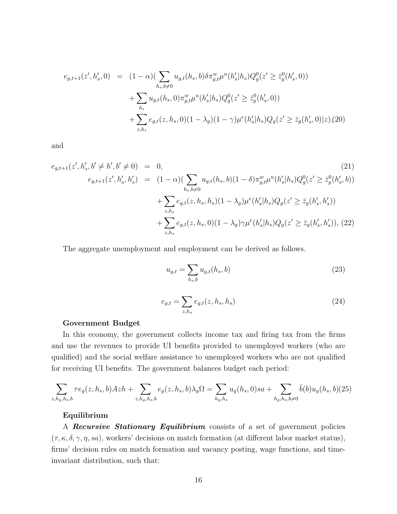$$
e_{g,t+1}(z',h'_s,0) = (1-\alpha)\left(\sum_{h_s,b\neq 0} u_{g,t}(h_s,b)\delta\pi_{g,t}^w\mu^u(h'_s|h_s)Q_g^0(z' \geq \bar{z}_g^0(h'_s,0))\right) + \sum_{h_s} u_{g,t}(h_s,0)\pi_{g,t}^w\mu^u(h'_s|h_s)Q_g^0(z' \geq \bar{z}_g^0(h'_s,0)) + \sum_{z,h_s} e_{g,t}(z,h_s,0)(1-\lambda_g)(1-\gamma)\mu^e(h'_s|h_s)Q_g(z' \geq \bar{z}_g(h'_s,0)|z),(20)
$$

and

$$
e_{g,t+1}(z',h'_s,b'\neq h',b'\neq 0) = 0,
$$
\n
$$
e_{g,t+1}(z',h'_s,h'_s) = (1-\alpha)\left(\sum_{h_s,b\neq 0} u_{g,t}(h_s,b)(1-\delta)\pi_{g,t}^w\mu^u(h'_s|h_s)Q_g^0(z'\geq \bar{z}_g^0(h'_s,b))\right)
$$
\n
$$
+ \sum_{z,h_s} e_{g,t}(z,h_s,h_s)(1-\lambda_g)\mu^e(h'_s|h_s)Q_g(z'\geq \bar{z}_g(h'_s,h'_s))
$$
\n
$$
+ \sum_{z,h_s} e_{g,t}(z,h_s,0)(1-\lambda_g)\gamma\mu^e(h'_s|h_s)Q_g(z'\geq \bar{z}_g(h'_s,h'_s)),
$$
\n(22)

The aggregate unemployment and employment can be derived as follows.

$$
u_{g,t} = \sum_{h_s,b} u_{g,t}(h_s, b)
$$
\n
$$
(23)
$$

$$
e_{g,t} = \sum_{z,h_s} e_{g,t}(z,h_s,h_s)
$$
 (24)

#### Government Budget

In this economy, the government collects income tax and firing tax from the firms and use the revenues to provide UI benefits provided to unemployed workers (who are qualified) and the social welfare assistance to unemployed workers who are not qualified for receiving UI benefits. The government balances budget each period:

$$
\sum_{z,h_g,h_s,b} \tau e_g(z,h_s,b) Azh + \sum_{z,h_g,h_s,b} e_g(z,h_s,b)\lambda_g \Omega = \sum_{h_g,h_s} u_g(h_s,0)sa + \sum_{h_g,h_s,b \neq 0} \bar{b}(b)u_g(h_s,b)(25)
$$

#### Equilibrium

A Recursive Stationary Equilibrium consists of a set of government policies  $(\tau, \kappa, \delta, \gamma, \eta, sa)$ , workers' decisions on match formation (at different labor market status), firms' decision rules on match formation and vacancy posting, wage functions, and timeinvariant distribution, such that: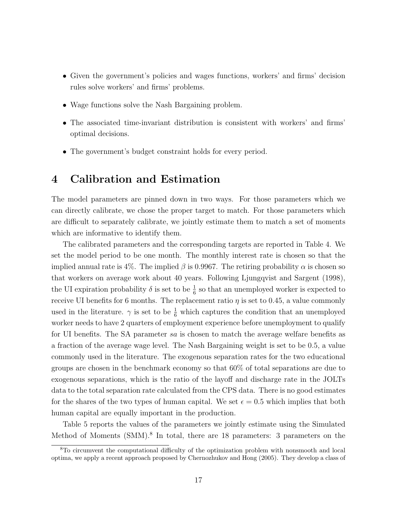- Given the government's policies and wages functions, workers' and firms' decision rules solve workers' and firms' problems.
- Wage functions solve the Nash Bargaining problem.
- The associated time-invariant distribution is consistent with workers' and firms' optimal decisions.
- The government's budget constraint holds for every period.

# 4 Calibration and Estimation

The model parameters are pinned down in two ways. For those parameters which we can directly calibrate, we chose the proper target to match. For those parameters which are difficult to separately calibrate, we jointly estimate them to match a set of moments which are informative to identify them.

The calibrated parameters and the corresponding targets are reported in Table 4. We set the model period to be one month. The monthly interest rate is chosen so that the implied annual rate is 4%. The implied  $\beta$  is 0.9967. The retiring probability  $\alpha$  is chosen so that workers on average work about 40 years. Following Ljungqvist and Sargent (1998), the UI expiration probability  $\delta$  is set to be  $\frac{1}{6}$  so that an unemployed worker is expected to receive UI benefits for 6 months. The replacement ratio  $\eta$  is set to 0.45, a value commonly used in the literature.  $\gamma$  is set to be  $\frac{1}{6}$  which captures the condition that an unemployed worker needs to have 2 quarters of employment experience before unemployment to qualify for UI benefits. The SA parameter sa is chosen to match the average welfare benefits as a fraction of the average wage level. The Nash Bargaining weight is set to be 0.5, a value commonly used in the literature. The exogenous separation rates for the two educational groups are chosen in the benchmark economy so that 60% of total separations are due to exogenous separations, which is the ratio of the layoff and discharge rate in the JOLTs data to the total separation rate calculated from the CPS data. There is no good estimates for the shares of the two types of human capital. We set  $\epsilon = 0.5$  which implies that both human capital are equally important in the production.

Table 5 reports the values of the parameters we jointly estimate using the Simulated Method of Moments (SMM).<sup>8</sup> In total, there are 18 parameters: 3 parameters on the

<sup>8</sup>To circumvent the computational difficulty of the optimization problem with nonsmooth and local optima, we apply a recent approach proposed by Chernozhukov and Hong (2005). They develop a class of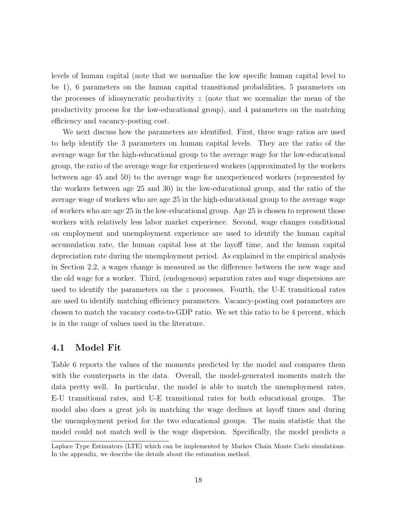levels of human capital (note that we normalize the low specific human capital level to be 1), 6 parameters on the human capital transitional probabilities, 5 parameters on the processes of idiosyncratic productivity  $z$  (note that we normalize the mean of the productivity process for the low-educational group), and 4 parameters on the matching efficiency and vacancy-posting cost.

We next discuss how the parameters are identified. First, three wage ratios are used to help identify the 3 parameters on human capital levels. They are the ratio of the average wage for the high-educational group to the average wage for the low-educational group, the ratio of the average wage for experienced workers (approximated by the workers between age 45 and 50) to the average wage for unexperienced workers (represented by the workers between age 25 and 30) in the low-educational group, and the ratio of the average wage of workers who are age 25 in the high-educational group to the average wage of workers who are age 25 in the low-educational group. Age 25 is chosen to represent those workers with relatively less labor market experience. Second, wage changes conditional on employment and unemployment experience are used to identify the human capital accumulation rate, the human capital loss at the layoff time, and the human capital depreciation rate during the unemployment period. As explained in the empirical analysis in Section 2.2, a wages change is measured as the difference between the new wage and the old wage for a worker. Third, (endogenous) separation rates and wage dispersions are used to identify the parameters on the  $z$  processes. Fourth, the U-E transitional rates are used to identify matching efficiency parameters. Vacancy-posting cost parameters are chosen to match the vacancy costs-to-GDP ratio. We set this ratio to be 4 percent, which is in the range of values used in the literature.

## 4.1 Model Fit

Table 6 reports the values of the moments predicted by the model and compares them with the counterparts in the data. Overall, the model-generated moments match the data pretty well. In particular, the model is able to match the unemployment rates, E-U transitional rates, and U-E transitional rates for both educational groups. The model also does a great job in matching the wage declines at layoff times and during the unemployment period for the two educational groups. The main statistic that the model could not match well is the wage dispersion. Specifically, the model predicts a

Laplace Type Estimators (LTE) which can be implemented by Markov Chain Monte Carlo simulations. In the appendix, we describe the details about the estimation method.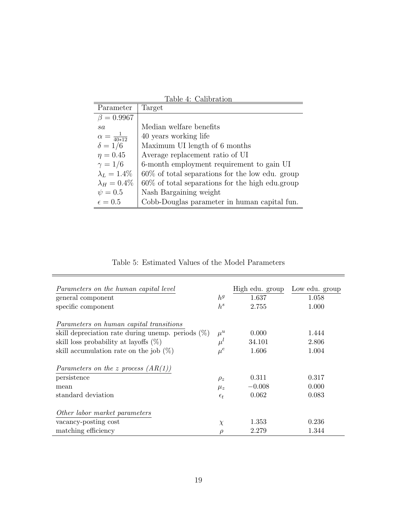| Parameter                  | Target                                             |
|----------------------------|----------------------------------------------------|
| $\beta = 0.9967$           |                                                    |
| sa                         | Median welfare benefits                            |
| $\alpha = \frac{1}{40*12}$ | 40 years working life                              |
| $\delta = 1/6$             | Maximum UI length of 6 months                      |
| $\eta = 0.45$              | Average replacement ratio of UI                    |
| $\gamma = 1/6$             | 6-month employment requirement to gain UI          |
| $\lambda_L = 1.4\%$        | $60\%$ of total separations for the low edu. group |
| $\lambda_H=0.4\%$          | $60\%$ of total separations for the high edu.group |
| $\psi = 0.5$               | Nash Bargaining weight                             |
| $\epsilon = 0.5$           | Cobb-Douglas parameter in human capital fun.       |

Table 4: Calibration

Table 5: Estimated Values of the Model Parameters

 $\equiv$ 

| Parameters on the human capital level                |               | High edu. group | Low edu. group |
|------------------------------------------------------|---------------|-----------------|----------------|
| general component                                    | $h^g$         | 1.637           | 1.058          |
| specific component                                   | $h^s$         | 2.755           | 1.000          |
| Parameters on human capital transitions              |               |                 |                |
| skill depreciation rate during unemp. periods $(\%)$ | $\mu^u$       | 0.000           | 1.444          |
| skill loss probability at layoffs $(\%)$             | $\mu^{\iota}$ | 34.101          | 2.806          |
| skill accumulation rate on the job $(\%)$            | $\mu^e$       | 1.606           | 1.004          |
| Parameters on the z process $(AR(1))$                |               |                 |                |
| persistence                                          | $\rho_z$      | 0.311           | 0.317          |
| mean                                                 | $\mu_z$       | $-0.008$        | 0.000          |
| standard deviation                                   | $\epsilon_t$  | 0.062           | 0.083          |
| Other labor market parameters                        |               |                 |                |
| vacancy-posting cost                                 | $\chi$        | 1.353           | 0.236          |
| matching efficiency                                  | $\rho$        | 2.279           | 1.344          |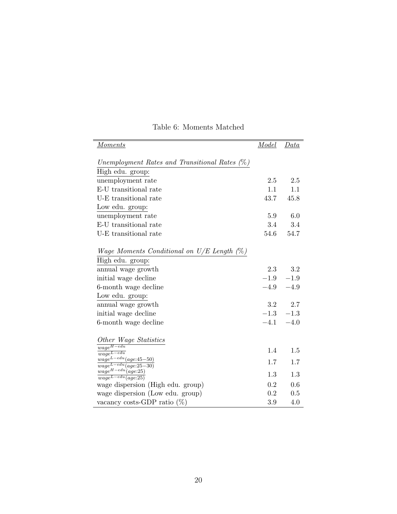| <i>Moments</i>                                                 | Model   | Data    |
|----------------------------------------------------------------|---------|---------|
| Unemployment Rates and Transitional Rates (%)                  |         |         |
| High edu. group:                                               |         |         |
| unemployment rate                                              | 2.5     | 2.5     |
| E-U transitional rate                                          | 1.1     | $1.1\,$ |
| U-E transitional rate                                          | 43.7    | 45.8    |
| Low edu. group:                                                |         |         |
| unemployment rate                                              | 5.9     | 6.0     |
| E-U transitional rate                                          | 3.4     | 3.4     |
| U-E transitional rate                                          | 54.6    | 54.7    |
|                                                                |         |         |
| <i>Wage Moments Conditional on U/E Length</i> $(\%)$           |         |         |
| High edu. group:                                               |         |         |
| annual wage growth                                             | 2.3     | $\!.2$  |
| initial wage decline                                           | $-1.9$  | $-1.9$  |
| 6-month wage decline                                           | $-4.9$  | $-4.9$  |
| Low edu. group:                                                |         |         |
| annual wage growth                                             | $3.2\,$ | 2.7     |
| initial wage decline                                           | $-1.3$  | $-1.3$  |
| 6-month wage decline                                           | $-4.1$  | $-4.0$  |
|                                                                |         |         |
| Other Wage Statistics                                          |         |         |
| $wage^{H-edu}$<br>$\overline{wage^{L-edu}}$                    | 1.4     | 1.5     |
| $wage^{L-edu}(age:45-50)$                                      | 1.7     | 1.7     |
| $\overline{wage^{L-edu}(age:25-30)}$<br>$wage^{H-edu}(age:25)$ |         |         |
| $\overline{wage^{L-edu}(age:25)}$                              | 1.3     | 1.3     |
| wage dispersion (High edu. group)                              | 0.2     | 0.6     |
| wage dispersion (Low edu. group)                               | 0.2     | 0.5     |
| vacancy costs-GDP ratio $(\%)$                                 | $3.9\,$ | 4.0     |

# Table 6: Moments Matched

 $=$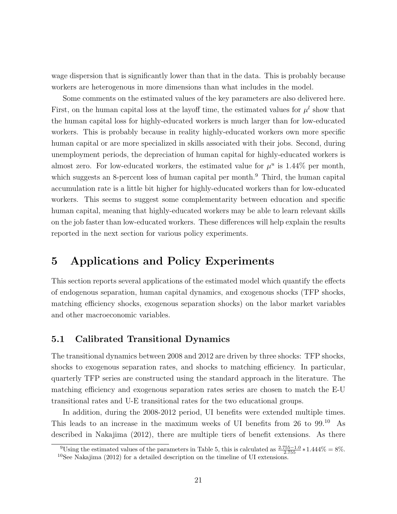wage dispersion that is significantly lower than that in the data. This is probably because workers are heterogenous in more dimensions than what includes in the model.

Some comments on the estimated values of the key parameters are also delivered here. First, on the human capital loss at the layoff time, the estimated values for  $\mu^{l}$  show that the human capital loss for highly-educated workers is much larger than for low-educated workers. This is probably because in reality highly-educated workers own more specific human capital or are more specialized in skills associated with their jobs. Second, during unemployment periods, the depreciation of human capital for highly-educated workers is almost zero. For low-educated workers, the estimated value for  $\mu^u$  is 1.44% per month, which suggests an 8-percent loss of human capital per month.<sup>9</sup> Third, the human capital accumulation rate is a little bit higher for highly-educated workers than for low-educated workers. This seems to suggest some complementarity between education and specific human capital, meaning that highly-educated workers may be able to learn relevant skills on the job faster than low-educated workers. These differences will help explain the results reported in the next section for various policy experiments.

# 5 Applications and Policy Experiments

This section reports several applications of the estimated model which quantify the effects of endogenous separation, human capital dynamics, and exogenous shocks (TFP shocks, matching efficiency shocks, exogenous separation shocks) on the labor market variables and other macroeconomic variables.

## 5.1 Calibrated Transitional Dynamics

The transitional dynamics between 2008 and 2012 are driven by three shocks: TFP shocks, shocks to exogenous separation rates, and shocks to matching efficiency. In particular, quarterly TFP series are constructed using the standard approach in the literature. The matching efficiency and exogenous separation rates series are chosen to match the E-U transitional rates and U-E transitional rates for the two educational groups.

In addition, during the 2008-2012 period, UI benefits were extended multiple times. This leads to an increase in the maximum weeks of UI benefits from 26 to 99.<sup>10</sup> As described in Nakajima (2012), there are multiple tiers of benefit extensions. As there

<sup>&</sup>lt;sup>9</sup>Using the estimated values of the parameters in Table 5, this is calculated as  $\frac{2.755-1.0}{2.755} * 1.444\% = 8\%$ . <sup>10</sup>See Nakajima (2012) for a detailed description on the timeline of UI extensions.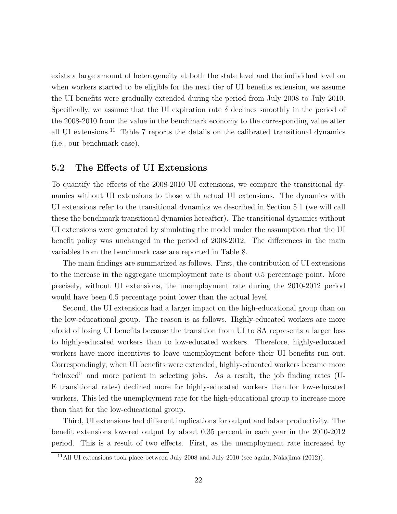exists a large amount of heterogeneity at both the state level and the individual level on when workers started to be eligible for the next tier of UI benefits extension, we assume the UI benefits were gradually extended during the period from July 2008 to July 2010. Specifically, we assume that the UI expiration rate  $\delta$  declines smoothly in the period of the 2008-2010 from the value in the benchmark economy to the corresponding value after all UI extensions.<sup>11</sup> Table 7 reports the details on the calibrated transitional dynamics (i.e., our benchmark case).

### 5.2 The Effects of UI Extensions

To quantify the effects of the 2008-2010 UI extensions, we compare the transitional dynamics without UI extensions to those with actual UI extensions. The dynamics with UI extensions refer to the transitional dynamics we described in Section 5.1 (we will call these the benchmark transitional dynamics hereafter). The transitional dynamics without UI extensions were generated by simulating the model under the assumption that the UI benefit policy was unchanged in the period of 2008-2012. The differences in the main variables from the benchmark case are reported in Table 8.

The main findings are summarized as follows. First, the contribution of UI extensions to the increase in the aggregate unemployment rate is about 0.5 percentage point. More precisely, without UI extensions, the unemployment rate during the 2010-2012 period would have been 0.5 percentage point lower than the actual level.

Second, the UI extensions had a larger impact on the high-educational group than on the low-educational group. The reason is as follows. Highly-educated workers are more afraid of losing UI benefits because the transition from UI to SA represents a larger loss to highly-educated workers than to low-educated workers. Therefore, highly-educated workers have more incentives to leave unemployment before their UI benefits run out. Correspondingly, when UI benefits were extended, highly-educated workers became more "relaxed" and more patient in selecting jobs. As a result, the job finding rates (U-E transitional rates) declined more for highly-educated workers than for low-educated workers. This led the unemployment rate for the high-educational group to increase more than that for the low-educational group.

Third, UI extensions had different implications for output and labor productivity. The benefit extensions lowered output by about 0.35 percent in each year in the 2010-2012 period. This is a result of two effects. First, as the unemployment rate increased by

<sup>&</sup>lt;sup>11</sup>All UI extensions took place between July 2008 and July 2010 (see again, Nakajima  $(2012)$ ).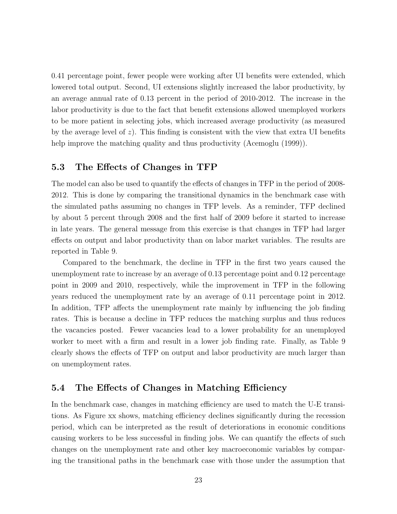0.41 percentage point, fewer people were working after UI benefits were extended, which lowered total output. Second, UI extensions slightly increased the labor productivity, by an average annual rate of 0.13 percent in the period of 2010-2012. The increase in the labor productivity is due to the fact that benefit extensions allowed unemployed workers to be more patient in selecting jobs, which increased average productivity (as measured by the average level of  $z$ ). This finding is consistent with the view that extra UI benefits help improve the matching quality and thus productivity (Acemoglu (1999)).

### 5.3 The Effects of Changes in TFP

The model can also be used to quantify the effects of changes in TFP in the period of 2008- 2012. This is done by comparing the transitional dynamics in the benchmark case with the simulated paths assuming no changes in TFP levels. As a reminder, TFP declined by about 5 percent through 2008 and the first half of 2009 before it started to increase in late years. The general message from this exercise is that changes in TFP had larger effects on output and labor productivity than on labor market variables. The results are reported in Table 9.

Compared to the benchmark, the decline in TFP in the first two years caused the unemployment rate to increase by an average of 0.13 percentage point and 0.12 percentage point in 2009 and 2010, respectively, while the improvement in TFP in the following years reduced the unemployment rate by an average of 0.11 percentage point in 2012. In addition, TFP affects the unemployment rate mainly by influencing the job finding rates. This is because a decline in TFP reduces the matching surplus and thus reduces the vacancies posted. Fewer vacancies lead to a lower probability for an unemployed worker to meet with a firm and result in a lower job finding rate. Finally, as Table 9 clearly shows the effects of TFP on output and labor productivity are much larger than on unemployment rates.

## 5.4 The Effects of Changes in Matching Efficiency

In the benchmark case, changes in matching efficiency are used to match the U-E transitions. As Figure xx shows, matching efficiency declines significantly during the recession period, which can be interpreted as the result of deteriorations in economic conditions causing workers to be less successful in finding jobs. We can quantify the effects of such changes on the unemployment rate and other key macroeconomic variables by comparing the transitional paths in the benchmark case with those under the assumption that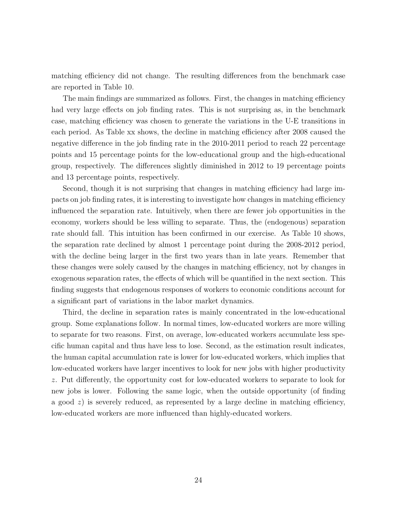matching efficiency did not change. The resulting differences from the benchmark case are reported in Table 10.

The main findings are summarized as follows. First, the changes in matching efficiency had very large effects on job finding rates. This is not surprising as, in the benchmark case, matching efficiency was chosen to generate the variations in the U-E transitions in each period. As Table xx shows, the decline in matching efficiency after 2008 caused the negative difference in the job finding rate in the 2010-2011 period to reach 22 percentage points and 15 percentage points for the low-educational group and the high-educational group, respectively. The differences slightly diminished in 2012 to 19 percentage points and 13 percentage points, respectively.

Second, though it is not surprising that changes in matching efficiency had large impacts on job finding rates, it is interesting to investigate how changes in matching efficiency influenced the separation rate. Intuitively, when there are fewer job opportunities in the economy, workers should be less willing to separate. Thus, the (endogenous) separation rate should fall. This intuition has been confirmed in our exercise. As Table 10 shows, the separation rate declined by almost 1 percentage point during the 2008-2012 period, with the decline being larger in the first two years than in late years. Remember that these changes were solely caused by the changes in matching efficiency, not by changes in exogenous separation rates, the effects of which will be quantified in the next section. This finding suggests that endogenous responses of workers to economic conditions account for a significant part of variations in the labor market dynamics.

Third, the decline in separation rates is mainly concentrated in the low-educational group. Some explanations follow. In normal times, low-educated workers are more willing to separate for two reasons. First, on average, low-educated workers accumulate less specific human capital and thus have less to lose. Second, as the estimation result indicates, the human capital accumulation rate is lower for low-educated workers, which implies that low-educated workers have larger incentives to look for new jobs with higher productivity z. Put differently, the opportunity cost for low-educated workers to separate to look for new jobs is lower. Following the same logic, when the outside opportunity (of finding a good  $z$ ) is severely reduced, as represented by a large decline in matching efficiency, low-educated workers are more influenced than highly-educated workers.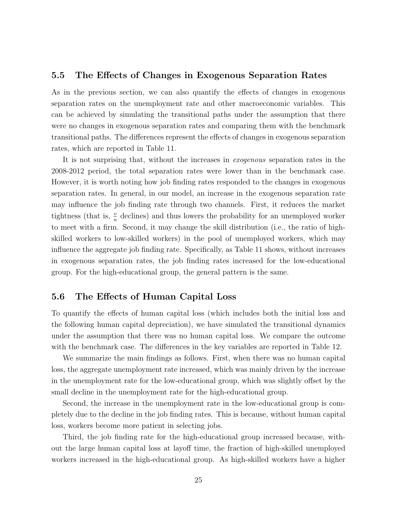### 5.5 The Effects of Changes in Exogenous Separation Rates

As in the previous section, we can also quantify the effects of changes in exogenous separation rates on the unemployment rate and other macroeconomic variables. This can be achieved by simulating the transitional paths under the assumption that there were no changes in exogenous separation rates and comparing them with the benchmark transitional paths. The differences represent the effects of changes in exogenous separation rates, which are reported in Table 11.

It is not surprising that, without the increases in exogenous separation rates in the 2008-2012 period, the total separation rates were lower than in the benchmark case. However, it is worth noting how job finding rates responded to the changes in exogenous separation rates. In general, in our model, an increase in the exogenous separation rate may influence the job finding rate through two channels. First, it reduces the market tightness (that is,  $\frac{v}{u}$  declines) and thus lowers the probability for an unemployed worker to meet with a firm. Second, it may change the skill distribution (i.e., the ratio of highskilled workers to low-skilled workers) in the pool of unemployed workers, which may influence the aggregate job finding rate. Specifically, as Table 11 shows, without increases in exogenous separation rates, the job finding rates increased for the low-educational group. For the high-educational group, the general pattern is the same.

### 5.6 The Effects of Human Capital Loss

To quantify the effects of human capital loss (which includes both the initial loss and the following human capital depreciation), we have simulated the transitional dynamics under the assumption that there was no human capital loss. We compare the outcome with the benchmark case. The differences in the key variables are reported in Table 12.

We summarize the main findings as follows. First, when there was no human capital loss, the aggregate unemployment rate increased, which was mainly driven by the increase in the unemployment rate for the low-educational group, which was slightly offset by the small decline in the unemployment rate for the high-educational group.

Second, the increase in the unemployment rate in the low-educational group is completely due to the decline in the job finding rates. This is because, without human capital loss, workers become more patient in selecting jobs.

Third, the job finding rate for the high-educational group increased because, without the large human capital loss at layoff time, the fraction of high-skilled unemployed workers increased in the high-educational group. As high-skilled workers have a higher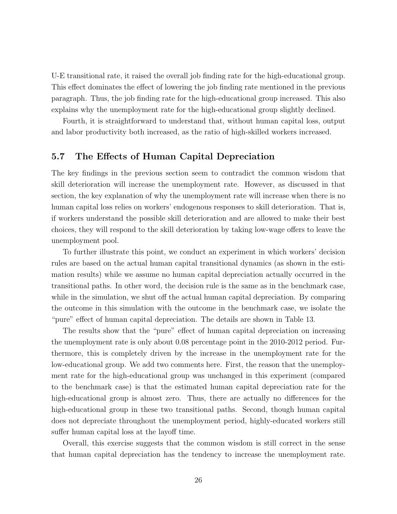U-E transitional rate, it raised the overall job finding rate for the high-educational group. This effect dominates the effect of lowering the job finding rate mentioned in the previous paragraph. Thus, the job finding rate for the high-educational group increased. This also explains why the unemployment rate for the high-educational group slightly declined.

Fourth, it is straightforward to understand that, without human capital loss, output and labor productivity both increased, as the ratio of high-skilled workers increased.

## 5.7 The Effects of Human Capital Depreciation

The key findings in the previous section seem to contradict the common wisdom that skill deterioration will increase the unemployment rate. However, as discussed in that section, the key explanation of why the unemployment rate will increase when there is no human capital loss relies on workers' endogenous responses to skill deterioration. That is, if workers understand the possible skill deterioration and are allowed to make their best choices, they will respond to the skill deterioration by taking low-wage offers to leave the unemployment pool.

To further illustrate this point, we conduct an experiment in which workers' decision rules are based on the actual human capital transitional dynamics (as shown in the estimation results) while we assume no human capital depreciation actually occurred in the transitional paths. In other word, the decision rule is the same as in the benchmark case, while in the simulation, we shut off the actual human capital depreciation. By comparing the outcome in this simulation with the outcome in the benchmark case, we isolate the "pure" effect of human capital depreciation. The details are shown in Table 13.

The results show that the "pure" effect of human capital depreciation on increasing the unemployment rate is only about 0.08 percentage point in the 2010-2012 period. Furthermore, this is completely driven by the increase in the unemployment rate for the low-educational group. We add two comments here. First, the reason that the unemployment rate for the high-educational group was unchanged in this experiment (compared to the benchmark case) is that the estimated human capital depreciation rate for the high-educational group is almost zero. Thus, there are actually no differences for the high-educational group in these two transitional paths. Second, though human capital does not depreciate throughout the unemployment period, highly-educated workers still suffer human capital loss at the layoff time.

Overall, this exercise suggests that the common wisdom is still correct in the sense that human capital depreciation has the tendency to increase the unemployment rate.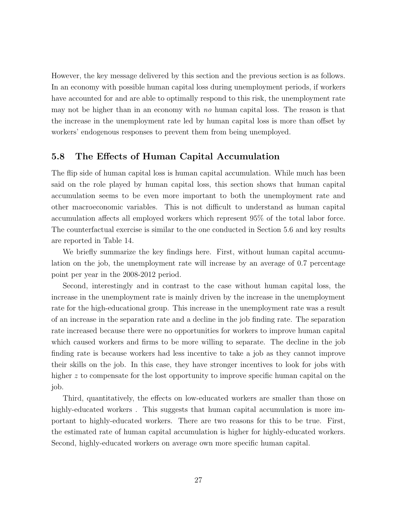However, the key message delivered by this section and the previous section is as follows. In an economy with possible human capital loss during unemployment periods, if workers have accounted for and are able to optimally respond to this risk, the unemployment rate may not be higher than in an economy with no human capital loss. The reason is that the increase in the unemployment rate led by human capital loss is more than offset by workers' endogenous responses to prevent them from being unemployed.

## 5.8 The Effects of Human Capital Accumulation

The flip side of human capital loss is human capital accumulation. While much has been said on the role played by human capital loss, this section shows that human capital accumulation seems to be even more important to both the unemployment rate and other macroeconomic variables. This is not difficult to understand as human capital accumulation affects all employed workers which represent 95% of the total labor force. The counterfactual exercise is similar to the one conducted in Section 5.6 and key results are reported in Table 14.

We briefly summarize the key findings here. First, without human capital accumulation on the job, the unemployment rate will increase by an average of 0.7 percentage point per year in the 2008-2012 period.

Second, interestingly and in contrast to the case without human capital loss, the increase in the unemployment rate is mainly driven by the increase in the unemployment rate for the high-educational group. This increase in the unemployment rate was a result of an increase in the separation rate and a decline in the job finding rate. The separation rate increased because there were no opportunities for workers to improve human capital which caused workers and firms to be more willing to separate. The decline in the job finding rate is because workers had less incentive to take a job as they cannot improve their skills on the job. In this case, they have stronger incentives to look for jobs with higher z to compensate for the lost opportunity to improve specific human capital on the job.

Third, quantitatively, the effects on low-educated workers are smaller than those on highly-educated workers. This suggests that human capital accumulation is more important to highly-educated workers. There are two reasons for this to be true. First, the estimated rate of human capital accumulation is higher for highly-educated workers. Second, highly-educated workers on average own more specific human capital.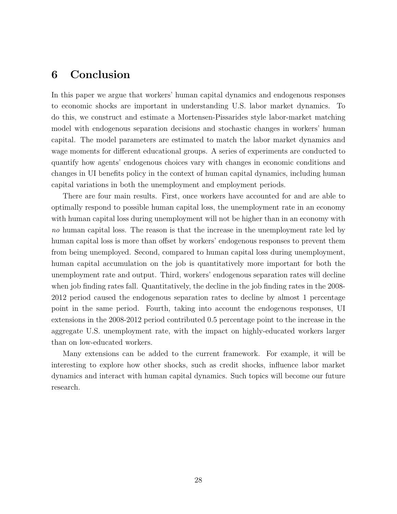# 6 Conclusion

In this paper we argue that workers' human capital dynamics and endogenous responses to economic shocks are important in understanding U.S. labor market dynamics. To do this, we construct and estimate a Mortensen-Pissarides style labor-market matching model with endogenous separation decisions and stochastic changes in workers' human capital. The model parameters are estimated to match the labor market dynamics and wage moments for different educational groups. A series of experiments are conducted to quantify how agents' endogenous choices vary with changes in economic conditions and changes in UI benefits policy in the context of human capital dynamics, including human capital variations in both the unemployment and employment periods.

There are four main results. First, once workers have accounted for and are able to optimally respond to possible human capital loss, the unemployment rate in an economy with human capital loss during unemployment will not be higher than in an economy with no human capital loss. The reason is that the increase in the unemployment rate led by human capital loss is more than offset by workers' endogenous responses to prevent them from being unemployed. Second, compared to human capital loss during unemployment, human capital accumulation on the job is quantitatively more important for both the unemployment rate and output. Third, workers' endogenous separation rates will decline when job finding rates fall. Quantitatively, the decline in the job finding rates in the 2008-2012 period caused the endogenous separation rates to decline by almost 1 percentage point in the same period. Fourth, taking into account the endogenous responses, UI extensions in the 2008-2012 period contributed 0.5 percentage point to the increase in the aggregate U.S. unemployment rate, with the impact on highly-educated workers larger than on low-educated workers.

Many extensions can be added to the current framework. For example, it will be interesting to explore how other shocks, such as credit shocks, influence labor market dynamics and interact with human capital dynamics. Such topics will become our future research.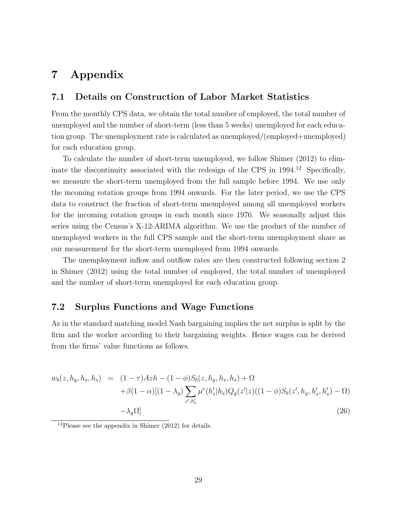# 7 Appendix

## 7.1 Details on Construction of Labor Market Statistics

From the monthly CPS data, we obtain the total number of employed, the total number of unemployed and the number of short-term (less than 5 weeks) unemployed for each education group. The unemployment rate is calculated as unemployed/(employed+unemployed) for each education group.

To calculate the number of short-term unemployed, we follow Shimer (2012) to eliminate the discontinuity associated with the redesign of the CPS in 1994.<sup>12</sup> Specifically, we measure the short-term unemployed from the full sample before 1994. We use only the incoming rotation groups from 1994 onwards. For the later period, we use the CPS data to construct the fraction of short-term unemployed among all unemployed workers for the incoming rotation groups in each month since 1976. We seasonally adjust this series using the Census's X-12-ARIMA algorithm. We use the product of the number of unemployed workers in the full CPS sample and the short-term unemployment share as our measurement for the short-term unemployed from 1994 onwards.

The unemployment inflow and outflow rates are then constructed following section 2 in Shimer (2012) using the total number of employed, the total number of unemployed and the number of short-term unemployed for each education group.

### 7.2 Surplus Functions and Wage Functions

As in the standard matching model Nash bargaining implies the net surplus is split by the firm and the worker according to their bargaining weights. Hence wages can be derived from the firms' value functions as follows.

$$
w_b(z, h_g, h_s, h_s) = (1 - \tau)Azh - (1 - \phi)S_b(z, h_g, h_s, h_s) + \Omega + \beta(1 - \alpha)[(1 - \lambda_g) \sum_{z', h'_s} \mu^e(h'_s | h_s)Q_g(z'|z)((1 - \phi)S_b(z', h_g, h'_s, h'_s) - \Omega) - \lambda_g \Omega]
$$
(26)

 $12$ Please see the appendix in Shimer (2012) for details.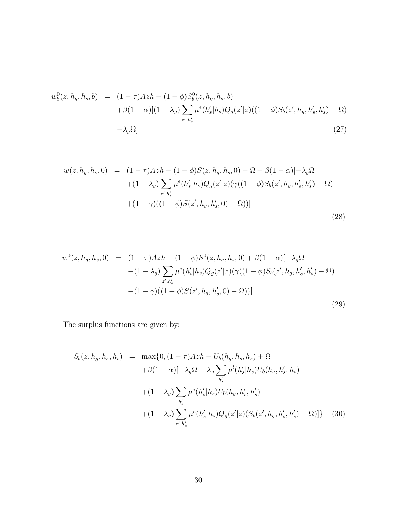$$
w_b^0(z, h_g, h_s, b) = (1 - \tau)Azh - (1 - \phi)S_b^0(z, h_g, h_s, b) + \beta(1 - \alpha)[(1 - \lambda_g) \sum_{z', h'_s} \mu^e(h'_s | h_s)Q_g(z'|z)((1 - \phi)S_b(z', h_g, h'_s, h'_s) - \Omega) - \lambda_g \Omega]
$$
(27)

$$
w(z, h_g, h_s, 0) = (1 - \tau)Azh - (1 - \phi)S(z, h_g, h_s, 0) + \Omega + \beta(1 - \alpha)[-\lambda_g\Omega
$$
  
+ 
$$
(1 - \lambda_g) \sum_{z', h'_s} \mu^e(h'_s|h_s)Q_g(z'|z)(\gamma((1 - \phi)S_b(z', h_g, h'_s, h'_s) - \Omega)
$$
  
+ 
$$
(1 - \gamma)((1 - \phi)S(z', h_g, h'_s, 0) - \Omega))]
$$
(28)

$$
w^{0}(z, h_{g}, h_{s}, 0) = (1 - \tau)Azh - (1 - \phi)S^{0}(z, h_{g}, h_{s}, 0) + \beta(1 - \alpha)[-\lambda_{g}\Omega
$$
  
 
$$
+ (1 - \lambda_{g})\sum_{z', h'_{s}} \mu^{e}(h'_{s}|h_{s})Q_{g}(z'|z)(\gamma((1 - \phi)S_{b}(z', h_{g}, h'_{s}, h'_{s}) - \Omega)
$$
  
 
$$
+ (1 - \gamma)((1 - \phi)S(z', h_{g}, h'_{s}, 0) - \Omega))]
$$
(29)

The surplus functions are given by:

$$
S_b(z, h_g, h_s, h_s) = \max\{0, (1 - \tau)Azh - U_b(h_g, h_s, h_s) + \Omega + \beta(1 - \alpha)[-\lambda_g \Omega + \lambda_g \sum_{h'_s} \mu^l(h'_s|h_s)U_b(h_g, h'_s, h_s) + (1 - \lambda_g) \sum_{h'_s} \mu^e(h'_s|h_s)U_b(h_g, h'_s, h'_s) + (1 - \lambda_g) \sum_{z',h'_s} \mu^e(h'_s|h_s)Q_g(z'|z)(S_b(z', h_g, h'_s, h'_s) - \Omega)]\}
$$
(30)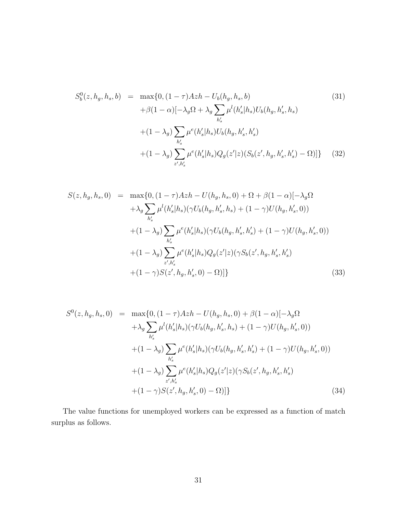$$
S_b^0(z, h_g, h_s, b) = \max\{0, (1 - \tau)Azh - U_b(h_g, h_s, b) + \beta(1 - \alpha)[-\lambda_g \Omega + \lambda_g \sum_{h'_s} \mu^l(h'_s | h_s) U_b(h_g, h'_s, h_s) + (1 - \lambda_g) \sum_{h'_s} \mu^e(h'_s | h_s) U_b(h_g, h'_s, h'_s) + (1 - \lambda_g) \sum_{z', h'_s} \mu^e(h'_s | h_s) Q_g(z'|z) (S_b(z', h_g, h'_s, h'_s) - \Omega)]\}
$$
(32)

$$
S(z, h_g, h_s, 0) = \max\{0, (1 - \tau)Azh - U(h_g, h_s, 0) + \Omega + \beta(1 - \alpha)[-\lambda_g\Omega
$$
  
+  $\lambda_g \sum_{h'_s} \mu^l(h'_s|h_s)(\gamma U_b(h_g, h'_s, h_s) + (1 - \gamma)U(h_g, h'_s, 0))$   
+  $(1 - \lambda_g) \sum_{h'_s} \mu^e(h'_s|h_s)(\gamma U_b(h_g, h'_s, h'_s) + (1 - \gamma)U(h_g, h'_s, 0))$   
+  $(1 - \lambda_g) \sum_{z', h'_s} \mu^e(h'_s|h_s)Q_g(z'|z)(\gamma S_b(z', h_g, h'_s, h'_s)$   
+  $(1 - \gamma)S(z', h_g, h'_s, 0) - \Omega)]$ } (33)

$$
S^{0}(z, h_{g}, h_{s}, 0) = \max\{0, (1 - \tau)Azh - U(h_{g}, h_{s}, 0) + \beta(1 - \alpha)[-\lambda_{g}\Omega
$$
  

$$
+ \lambda_{g} \sum_{h'_{s}} \mu^{l}(h'_{s}|h_{s}) (\gamma U_{b}(h_{g}, h'_{s}, h_{s}) + (1 - \gamma)U(h_{g}, h'_{s}, 0))
$$
  

$$
+ (1 - \lambda_{g}) \sum_{h'_{s}} \mu^{e}(h'_{s}|h_{s}) (\gamma U_{b}(h_{g}, h'_{s}, h'_{s}) + (1 - \gamma)U(h_{g}, h'_{s}, 0))
$$
  

$$
+ (1 - \lambda_{g}) \sum_{z', h'_{s}} \mu^{e}(h'_{s}|h_{s}) Q_{g}(z'|z) (\gamma S_{b}(z', h_{g}, h'_{s}, h'_{s})
$$
  

$$
+ (1 - \gamma)S(z', h_{g}, h'_{s}, 0) - \Omega)] \}
$$
(34)

The value functions for unemployed workers can be expressed as a function of match surplus as follows.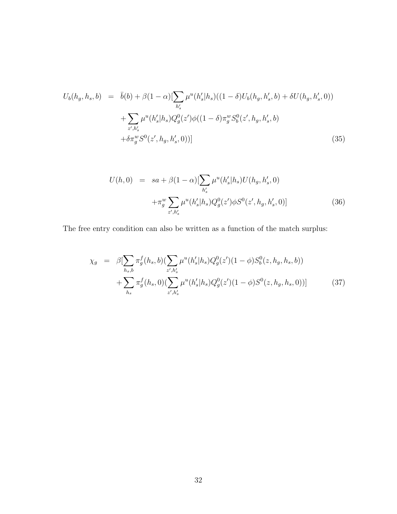$$
U_b(h_g, h_s, b) = \bar{b}(b) + \beta(1 - \alpha) \left[ \sum_{h'_s} \mu^u(h'_s | h_s) ((1 - \delta) U_b(h_g, h'_s, b) + \delta U(h_g, h'_s, 0)) \right]
$$
  
+ 
$$
\sum_{z', h'_s} \mu^u(h'_s | h_s) Q_g^0(z') \phi((1 - \delta) \pi_g^w S_b^0(z', h_g, h'_s, b)
$$
  
+ 
$$
\delta \pi_g^w S^0(z', h_g, h'_s, 0))
$$
(35)

$$
U(h,0) = sa + \beta(1-\alpha) \left[\sum_{h'_s} \mu^u(h'_s | h_s) U(h_g, h'_s, 0) + \pi_g^w \sum_{z',h'_s} \mu^u(h'_s | h_s) Q_g^0(z') \phi S^0(z', h_g, h'_s, 0)\right]
$$
(36)

The free entry condition can also be written as a function of the match surplus:

$$
\chi_g = \beta \left[ \sum_{h_s, b} \pi_g^f(h_s, b) \left( \sum_{z', h'_s} \mu^u(h'_s | h_s) Q_g^0(z') (1 - \phi) S_b^0(z, h_g, h_s, b) \right) \right] + \sum_{h_s} \pi_g^f(h_s, 0) \left( \sum_{z', h'_s} \mu^u(h'_s | h_s) Q_g^0(z') (1 - \phi) S^0(z, h_g, h_s, 0) \right)
$$
(37)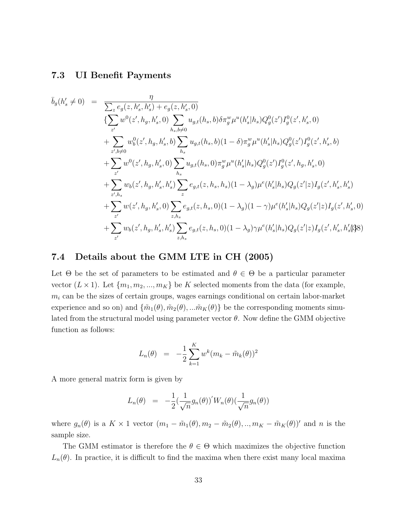## 7.3 UI Benefit Payments

$$
\bar{b}_{g}(h'_{s} \neq 0) = \frac{\eta}{\sum_{z} e_{g}(z, h'_{s}, h'_{s}) + e_{g}(z, h'_{s}, 0)} \n\{\sum_{z'} w^{0}(z', h_{g}, h'_{s}, 0) \sum_{h_{s}, b \neq 0} u_{g,t}(h_{s}, b) \delta \pi_{g}^{w} \mu^{u}(h'_{s}|h_{s}) Q_{g}^{0}(z') I_{g}^{0}(z', h'_{s}, 0) \n+ \sum_{z', b \neq 0} w_{b}^{0}(z', h_{g}, h'_{s}, b) \sum_{h_{s}} u_{g,t}(h_{s}, b) (1 - \delta) \pi_{g}^{w} \mu^{u}(h'_{s}|h_{s}) Q_{g}^{0}(z') I_{g}^{0}(z', h'_{s}, b) \n+ \sum_{z'} w^{0}(z', h_{g}, h'_{s}, 0) \sum_{h_{s}} u_{g,t}(h_{s}, 0) \pi_{g}^{w} \mu^{u}(h'_{s}|h_{s}) Q_{g}^{0}(z') I_{g}^{0}(z', h_{g}, h'_{s}, 0) \n+ \sum_{z', h_{s}} w_{b}(z', h_{g}, h'_{s}, h'_{s}) \sum_{z} e_{g,t}(z, h_{s}, h_{s}) (1 - \lambda_{g}) \mu^{e}(h'_{s}|h_{s}) Q_{g}(z'|z) I_{g}(z', h'_{s}, h'_{s}) \n+ \sum_{z'} w(z', h_{g}, h'_{s}, 0) \sum_{z, h_{s}} e_{g,t}(z, h_{s}, 0) (1 - \lambda_{g}) (1 - \gamma) \mu^{e}(h'_{s}|h_{s}) Q_{g}(z'|z) I_{g}(z', h'_{s}, 0) \n+ \sum_{z'} w_{b}(z', h_{g}, h'_{s}, h'_{s}) \sum_{z, h_{s}} e_{g,t}(z, h_{s}, 0) (1 - \lambda_{g}) \gamma \mu^{e}(h'_{s}|h_{s}) Q_{g}(z'|z) I_{g}(z', h'_{s}, h'_{s}) \}
$$

## 7.4 Details about the GMM LTE in CH (2005)

Let  $\Theta$  be the set of parameters to be estimated and  $\theta \in \Theta$  be a particular parameter vector  $(L \times 1)$ . Let  $\{m_1, m_2, ..., m_K\}$  be K selected moments from the data (for example,  $m_i$  can be the sizes of certain groups, wages earnings conditional on certain labor-market experience and so on) and  $\{\tilde{m}_1(\theta), \tilde{m}_2(\theta),...\tilde{m}_K(\theta)\}\$ be the corresponding moments simulated from the structural model using parameter vector  $\theta$ . Now define the GMM objective function as follows:

$$
L_n(\theta) = -\frac{1}{2} \sum_{k=1}^{K} w^k (m_k - \tilde{m}_k(\theta))^2
$$

A more general matrix form is given by

$$
L_n(\theta) = -\frac{1}{2} \left( \frac{1}{\sqrt{n}} g_n(\theta) \right)' W_n(\theta) \left( \frac{1}{\sqrt{n}} g_n(\theta) \right)
$$

where  $g_n(\theta)$  is a K × 1 vector  $(m_1 - \tilde{m}_1(\theta), m_2 - \tilde{m}_2(\theta), ..., m_K - \tilde{m}_K(\theta))'$  and n is the sample size.

The GMM estimator is therefore the  $\theta \in \Theta$  which maximizes the objective function  $L_n(\theta)$ . In practice, it is difficult to find the maxima when there exist many local maxima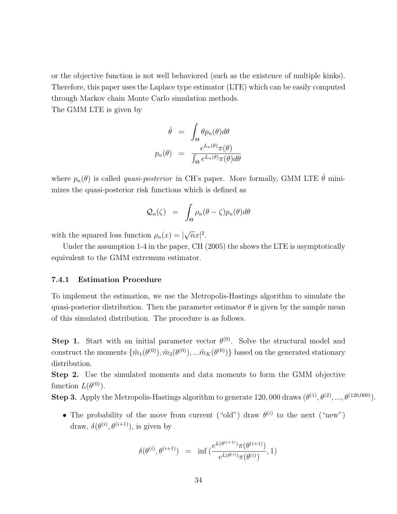or the objective function is not well behaviored (such as the existence of multiple kinks). Therefore, this paper uses the Laplace type estimator (LTE) which can be easily computed through Markov chain Monte Carlo simulation methods.

The GMM LTE is given by

$$
\hat{\theta} = \int_{\Theta} \theta p_n(\theta) d\theta
$$

$$
p_n(\theta) = \frac{e^{L_n(\theta)} \pi(\theta)}{\int_{\Theta} e^{L_n(\theta)} \pi(\theta) d\theta}
$$

where  $p_n(\theta)$  is called *quasi-posterior* in CH's paper. More formally, GMM LTE  $\hat{\theta}$  minimizes the quasi-posterior risk functions which is defined as

$$
\mathcal{Q}_n(\zeta) = \int_{\Theta} \rho_n(\theta - \zeta) p_n(\theta) d\theta
$$

with the squared loss function  $\rho_n(x) = |$ √  $\overline{n}x|^2$ .

Under the assumption 1-4 in the paper, CH (2005) the shows the LTE is asymptotically equivalent to the GMM extremum estimator.

#### 7.4.1 Estimation Procedure

To implement the estimation, we use the Metropolis-Hastings algorithm to simulate the quasi-posterior distribution. Then the parameter estimator  $\theta$  is given by the sample mean of this simulated distribution. The procedure is as follows.

**Step 1.** Start with an initial parameter vector  $\theta^{(0)}$ . Solve the structural model and construct the moments  $\{\tilde{m}_1(\theta^{(0)}), \tilde{m}_2(\theta^{(0)}),...\tilde{m}_K(\theta^{(0)})\}$  based on the generated stationary distribution.

Step 2. Use the simulated moments and data moments to form the GMM objective function  $L(\theta^{(0)})$ .

**Step 3.** Apply the Metropolis-Hastings algorithm to generate 120, 000 draws  $(\theta^{(1)}, \theta^{(2)}, ..., \theta^{(120,000)})$ .

• The probability of the move from current ("old") draw  $\theta^{(i)}$  to the next ("new") draw,  $\delta(\theta^{(i)}, \theta^{(i+1)})$ , is given by

$$
\delta(\theta^{(i)}, \theta^{(i+1)}) \;\; = \;\; \inf \; (\frac{e^{L(\theta^{(i+1)})}\pi(\theta^{(i+1)})}{e^{L(\theta^{(i)})}\pi(\theta^{(i)})}, 1)
$$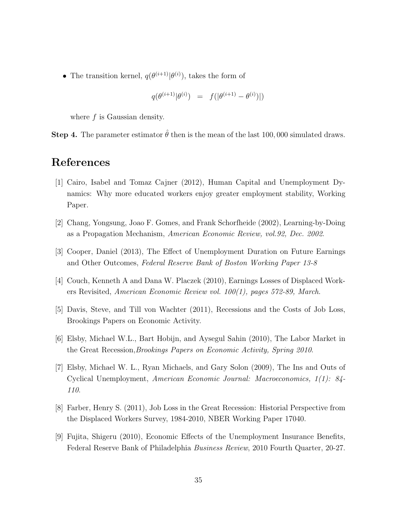• The transition kernel,  $q(\theta^{(i+1)}|\theta^{(i)})$ , takes the form of

$$
q(\theta^{(i+1)}|\theta^{(i)}) = f(|\theta^{(i+1)} - \theta^{(i)})|)
$$

where  $f$  is Gaussian density.

**Step 4.** The parameter estimator  $\hat{\theta}$  then is the mean of the last 100,000 simulated draws.

# References

- [1] Cairo, Isabel and Tomaz Cajner (2012), Human Capital and Unemployment Dynamics: Why more educated workers enjoy greater employment stability, Working Paper.
- [2] Chang, Yongsung, Joao F. Gomes, and Frank Schorfheide (2002), Learning-by-Doing as a Propagation Mechanism, American Economic Review, vol.92, Dec. 2002.
- [3] Cooper, Daniel (2013), The Effect of Unemployment Duration on Future Earnings and Other Outcomes, Federal Reserve Bank of Boston Working Paper 13-8
- [4] Couch, Kenneth A and Dana W. Placzek (2010), Earnings Losses of Displaced Workers Revisited, American Economic Review vol. 100(1), pages 572-89, March.
- [5] Davis, Steve, and Till von Wachter (2011), Recessions and the Costs of Job Loss, Brookings Papers on Economic Activity.
- [6] Elsby, Michael W.L., Bart Hobijn, and Aysegul Sahin (2010), The Labor Market in the Great Recession,Brookings Papers on Economic Activity, Spring 2010.
- [7] Elsby, Michael W. L., Ryan Michaels, and Gary Solon (2009), The Ins and Outs of Cyclical Unemployment, American Economic Journal: Macroeconomics, 1(1): 84- 110.
- [8] Farber, Henry S. (2011), Job Loss in the Great Recession: Historial Perspective from the Displaced Workers Survey, 1984-2010, NBER Working Paper 17040.
- [9] Fujita, Shigeru (2010), Economic Effects of the Unemployment Insurance Benefits, Federal Reserve Bank of Philadelphia Business Review, 2010 Fourth Quarter, 20-27.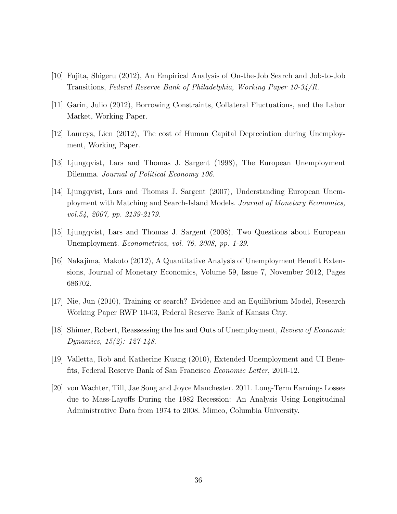- [10] Fujita, Shigeru (2012), An Empirical Analysis of On-the-Job Search and Job-to-Job Transitions, Federal Reserve Bank of Philadelphia, Working Paper 10-34/R.
- [11] Garin, Julio (2012), Borrowing Constraints, Collateral Fluctuations, and the Labor Market, Working Paper.
- [12] Laureys, Lien (2012), The cost of Human Capital Depreciation during Unemployment, Working Paper.
- [13] Ljungqvist, Lars and Thomas J. Sargent (1998), The European Unemployment Dilemma. Journal of Political Economy 106.
- [14] Ljungqvist, Lars and Thomas J. Sargent (2007), Understanding European Unemployment with Matching and Search-Island Models. Journal of Monetary Economics, vol.54, 2007, pp. 2139-2179.
- [15] Ljungqvist, Lars and Thomas J. Sargent (2008), Two Questions about European Unemployment. Econometrica, vol. 76, 2008, pp. 1-29.
- [16] Nakajima, Makoto (2012), A Quantitative Analysis of Unemployment Benefit Extensions, Journal of Monetary Economics, Volume 59, Issue 7, November 2012, Pages 686702.
- [17] Nie, Jun (2010), Training or search? Evidence and an Equilibrium Model, Research Working Paper RWP 10-03, Federal Reserve Bank of Kansas City.
- [18] Shimer, Robert, Reassessing the Ins and Outs of Unemployment, Review of Economic Dynamics, 15(2): 127-148.
- [19] Valletta, Rob and Katherine Kuang (2010), Extended Unemployment and UI Benefits, Federal Reserve Bank of San Francisco Economic Letter, 2010-12.
- [20] von Wachter, Till, Jae Song and Joyce Manchester. 2011. Long-Term Earnings Losses due to Mass-Layoffs During the 1982 Recession: An Analysis Using Longitudinal Administrative Data from 1974 to 2008. Mimeo, Columbia University.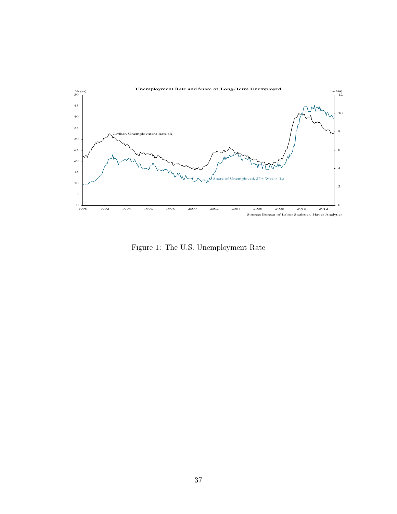

Figure 1: The U.S. Unemployment Rate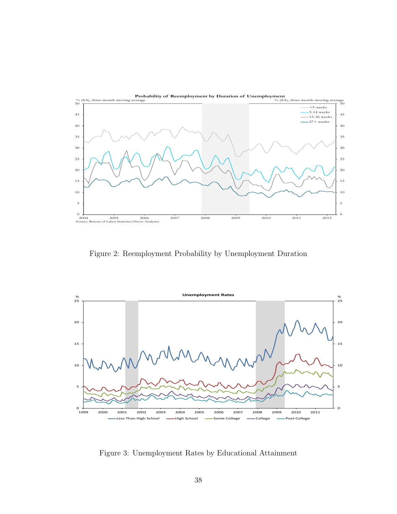

Figure 2: Reemployment Probability by Unemployment Duration



Figure 3: Unemployment Rates by Educational Attainment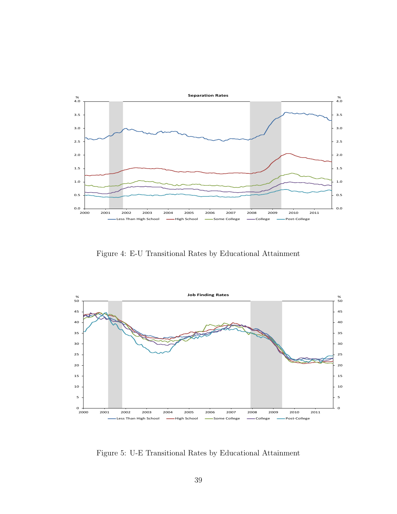

Figure 4: E-U Transitional Rates by Educational Attainment



Figure 5: U-E Transitional Rates by Educational Attainment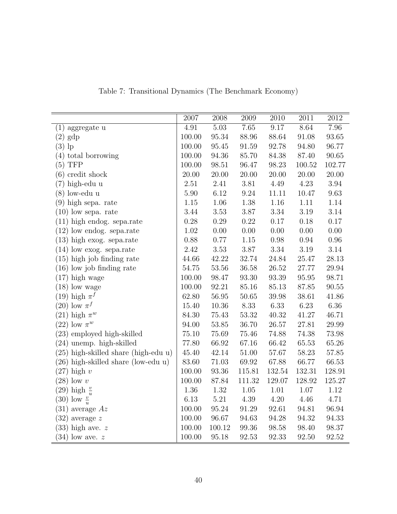|                                        | 2007     | 2008             | 2009      | 2010      | 2011     | $2012\,$ |
|----------------------------------------|----------|------------------|-----------|-----------|----------|----------|
| (1) aggregate u                        | 4.91     | 5.03             | 7.65      | 9.17      | 8.64     | 7.96     |
| $(2)$ gdp                              | 100.00   | 95.34            | 88.96     | 88.64     | 91.08    | 93.65    |
| $(3)$ lp                               | 100.00   | $\mathbf{95.45}$ | 91.59     | 92.78     | 94.80    | 96.77    |
| $(4)$ total borrowing                  | 100.00   | 94.36            | 85.70     | 84.38     | 87.40    | 90.65    |
| $(5)$ TFP                              | 100.00   | 98.51            | 96.47     | 98.23     | 100.52   | 102.77   |
| $(6)$ credit shock                     | 20.00    | 20.00            | 20.00     | 20.00     | 20.00    | 20.00    |
| $(7)$ high-edu u                       | $2.51\,$ | 2.41             | 3.81      | 4.49      | 4.23     | $3.94\,$ |
| $(8)$ low-edu u                        | 5.90     | 6.12             | 9.24      | 11.11     | 10.47    | $9.63\,$ |
| $(9)$ high sepa. rate                  | 1.15     | $1.06\,$         | $1.38\,$  | 1.16      | 1.11     | 1.14     |
| $(10)$ low sepa. rate                  | 3.44     | $3.53\,$         | $3.87\,$  | $3.34\,$  | $3.19\,$ | $3.14\,$ |
| $(11)$ high endog. sepa.rate           | 0.28     | 0.29             | 0.22      | 0.17      | 0.18     | 0.17     |
| $(12)$ low endog. sepa.rate            | 1.02     | 0.00             | 0.00      | 0.00      | 0.00     | 0.00     |
| $(13)$ high exog. sepa.rate            | 0.88     | 0.77             | 1.15      | 0.98      | 0.94     | 0.96     |
| $(14)$ low exog. sepa.rate             | 2.42     | 3.53             | $3.87\,$  | $3.34\,$  | $3.19\,$ | $3.14\,$ |
| $(15)$ high job finding rate           | 44.66    | 42.22            | 32.74     | 24.84     | 25.47    | 28.13    |
| $(16)$ low job finding rate            | 54.75    | $53.56\,$        | 36.58     | $26.52\,$ | 27.77    | 29.94    |
| $(17)$ high wage                       | 100.00   | 98.47            | $93.30\,$ | 93.39     | 95.95    | 98.71    |
| $(18)$ low wage                        | 100.00   | 92.21            | 85.16     | 85.13     | 87.85    | 90.55    |
| (19) high $\pi^f$                      | 62.80    | 56.95            | $50.65\,$ | 39.98     | 38.61    | 41.86    |
| $(20)$ low $\pi^f$                     | 15.40    | 10.36            | 8.33      | 6.33      | 6.23     | $6.36\,$ |
| $(21)$ high $\pi^w$                    | 84.30    | 75.43            | $53.32\,$ | 40.32     | 41.27    | 46.71    |
| $(22)$ low $\pi^w$                     | 94.00    | 53.85            | 36.70     | 26.57     | 27.81    | 29.99    |
| (23) employed high-skilled             | 75.10    | 75.69            | 75.46     | 74.88     | 74.38    | 73.98    |
| $(24)$ unemp. high-skilled             | 77.80    | 66.92            | 67.16     | 66.42     | 65.53    | 65.26    |
| $(25)$ high-skilled share (high-edu u) | 45.40    | 42.14            | 51.00     | 57.67     | 58.23    | 57.85    |
| $(26)$ high-skilled share (low-edu u)  | 83.60    | 71.03            | 69.92     | 67.88     | 66.77    | 66.53    |
| $(27)$ high v                          | 100.00   | 93.36            | 115.81    | 132.54    | 132.31   | 128.91   |
| $(28)$ low v                           | 100.00   | 87.84            | 111.32    | 129.07    | 128.92   | 125.27   |
| $(29)$ high $\frac{v}{u}$              | 1.36     | $1.32\,$         | 1.05      | $1.01\,$  | 1.07     | 1.12     |
| $(30)$ low $\frac{v}{u}$               | 6.13     | $5.21\,$         | 4.39      | 4.20      | 4.46     | 4.71     |
| $(31)$ average $Az$                    | 100.00   | 95.24            | 91.29     | 92.61     | 94.81    | 96.94    |
| $(32)$ average z                       | 100.00   | 96.67            | 94.63     | 94.28     | 94.32    | 94.33    |
| $(33)$ high ave. z                     | 100.00   | 100.12           | 99.36     | 98.58     | 98.40    | 98.37    |
| $(34)$ low ave. z                      | 100.00   | 95.18            | 92.53     | 92.33     | 92.50    | 92.52    |

Table 7: Transitional Dynamics (The Benchmark Economy)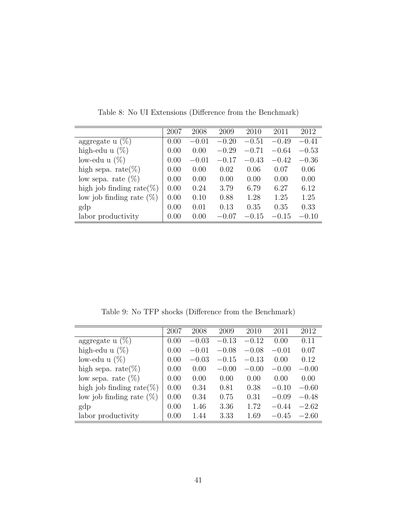|                               | 2007 | 2008    | 2009    | 2010    | 2011    | 2012    |
|-------------------------------|------|---------|---------|---------|---------|---------|
| aggregate $u(\%)$             | 0.00 | $-0.01$ | $-0.20$ | $-0.51$ | $-0.49$ | $-0.41$ |
| high-edu u $(\%)$             | 0.00 | 0.00    | $-0.29$ | $-0.71$ | $-0.64$ | $-0.53$ |
| low-edu u $(\%)$              | 0.00 | $-0.01$ | $-0.17$ | $-0.43$ | $-0.42$ | $-0.36$ |
| high sepa. rate $(\%)$        | 0.00 | 0.00    | 0.02    | 0.06    | 0.07    | 0.06    |
| low sepa. rate $(\%)$         | 0.00 | 0.00    | 0.00    | 0.00    | 0.00    | 0.00    |
| high job finding rate( $\%$ ) | 0.00 | 0.24    | 3.79    | 6.79    | 6.27    | 6.12    |
| low job finding rate $(\%)$   | 0.00 | 0.10    | 0.88    | 1.28    | 1.25    | 1.25    |
| gdp                           | 0.00 | 0.01    | 0.13    | 0.35    | 0.35    | 0.33    |
| labor productivity            | 0.00 | 0.00    | $-0.07$ | $-0.15$ | $-0.15$ | $-0.10$ |
|                               |      |         |         |         |         |         |

Table 8: No UI Extensions (Difference from the Benchmark)

Table 9: No TFP shocks (Difference from the Benchmark)

|                               | 2007 | 2008    | 2009    | 2010    | 2011    | 2012    |
|-------------------------------|------|---------|---------|---------|---------|---------|
| aggregate $u(\%)$             | 0.00 | $-0.03$ | $-0.13$ | $-0.12$ | 0.00    | 0.11    |
| high-edu u $(\%)$             | 0.00 | $-0.01$ | $-0.08$ | $-0.08$ | $-0.01$ | 0.07    |
| low-edu u $(\%)$              | 0.00 | $-0.03$ | $-0.15$ | $-0.13$ | 0.00    | 0.12    |
| high sepa. rate $(\%)$        | 0.00 | 0.00    | $-0.00$ | $-0.00$ | $-0.00$ | $-0.00$ |
| low sepa. rate $(\%)$         | 0.00 | 0.00    | 0.00    | 0.00    | 0.00    | 0.00    |
| high job finding rate( $\%$ ) | 0.00 | 0.34    | 0.81    | 0.38    | $-0.10$ | $-0.60$ |
| low job finding rate $(\%)$   | 0.00 | 0.34    | 0.75    | 0.31    | $-0.09$ | $-0.48$ |
| gdp                           | 0.00 | 1.46    | 3.36    | 1.72    | $-0.44$ | $-2.62$ |
| labor productivity            | 0.00 | 1.44    | 3.33    | 1.69    | $-0.45$ | $-2.60$ |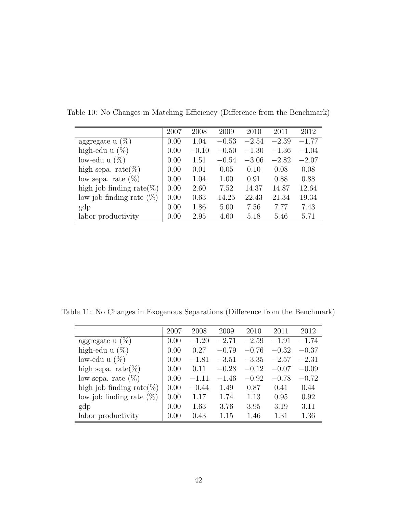| 2007 | 2008    | 2009    | 2010    | 2011    | 2012    |
|------|---------|---------|---------|---------|---------|
| 0.00 | 1.04    | $-0.53$ | $-2.54$ | $-2.39$ | $-1.77$ |
| 0.00 | $-0.10$ | $-0.50$ | $-1.30$ | $-1.36$ | $-1.04$ |
| 0.00 | 1.51    | $-0.54$ | $-3.06$ | $-2.82$ | $-2.07$ |
| 0.00 | 0.01    | 0.05    | 0.10    | 0.08    | 0.08    |
| 0.00 | 1.04    | 1.00    | 0.91    | 0.88    | 0.88    |
| 0.00 | 2.60    | 7.52    | 14.37   | 14.87   | 12.64   |
| 0.00 | 0.63    | 14.25   | 22.43   | 21.34   | 19.34   |
| 0.00 | 1.86    | 5.00    | 7.56    | 7.77    | 7.43    |
| 0.00 | 2.95    | 4.60    | 5.18    | 5.46    | 5.71    |
|      |         |         |         |         |         |

Table 10: No Changes in Matching Efficiency (Difference from the Benchmark)

Table 11: No Changes in Exogenous Separations (Difference from the Benchmark)

|                               | 2007 | 2008    | 2009    | 2010    | 2011    | 2012    |
|-------------------------------|------|---------|---------|---------|---------|---------|
| aggregate $u(\%)$             | 0.00 | $-1.20$ | $-2.71$ | $-2.59$ | $-1.91$ | $-1.74$ |
| high-edu u $(\%)$             | 0.00 | 0.27    | $-0.79$ | $-0.76$ | $-0.32$ | $-0.37$ |
| low-edu u $(\%)$              | 0.00 | $-1.81$ | $-3.51$ | $-3.35$ | $-2.57$ | $-2.31$ |
| high sepa. rate $(\%)$        | 0.00 | 0.11    | $-0.28$ | $-0.12$ | $-0.07$ | $-0.09$ |
| low sepa. rate $(\%)$         | 0.00 | $-1.11$ | $-1.46$ | $-0.92$ | $-0.78$ | $-0.72$ |
| high job finding rate( $\%$ ) | 0.00 | $-0.44$ | 1.49    | 0.87    | 0.41    | 0.44    |
| low job finding rate $(\%)$   | 0.00 | 1.17    | 1.74    | 1.13    | 0.95    | 0.92    |
| gdp                           | 0.00 | 1.63    | 3.76    | 3.95    | 3.19    | 3.11    |
| labor productivity            | 0.00 | 0.43    | 1.15    | 1.46    | 1.31    | 1.36    |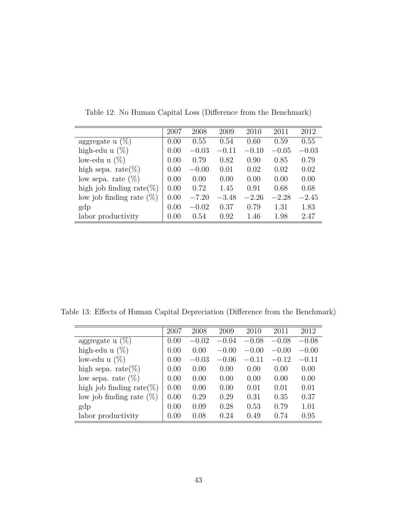|                              | 2007 | 2008    | 2009    | 2010    | 2011    | 2012    |
|------------------------------|------|---------|---------|---------|---------|---------|
| aggregate $u(\%)$            | 0.00 | 0.55    | 0.54    | 0.60    | 0.59    | 0.55    |
| high-edu u $(\%)$            | 0.00 | $-0.03$ | $-0.11$ | $-0.10$ | $-0.05$ | $-0.03$ |
| low-edu u $(\%)$             | 0.00 | 0.79    | 0.82    | 0.90    | 0.85    | 0.79    |
| high sepa. rate $(\%)$       | 0.00 | $-0.00$ | 0.01    | 0.02    | 0.02    | 0.02    |
| low sepa. rate $(\%)$        | 0.00 | 0.00    | 0.00    | 0.00    | 0.00    | 0.00    |
| high job finding rate $(\%)$ | 0.00 | 0.72    | 1.45    | 0.91    | 0.68    | 0.68    |
| low job finding rate $(\%)$  | 0.00 | $-7.20$ | $-3.48$ | $-2.26$ | $-2.28$ | $-2.45$ |
| gdp                          | 0.00 | $-0.02$ | 0.37    | 0.79    | 1.31    | 1.83    |
| labor productivity           | 0.00 | 0.54    | 0.92    | 1.46    | 1.98    | 2.47    |

Table 12: No Human Capital Loss (Difference from the Benchmark)

Table 13: Effects of Human Capital Depreciation (Difference from the Benchmark)

|                               | 2007 | 2008    | 2009    | 2010    | 2011    | 2012    |
|-------------------------------|------|---------|---------|---------|---------|---------|
| aggregate $u(\%)$             | 0.00 | $-0.02$ | $-0.04$ | $-0.08$ | $-0.08$ | $-0.08$ |
| high-edu u $(\%)$             | 0.00 | 0.00    | $-0.00$ | $-0.00$ | $-0.00$ | $-0.00$ |
| low-edu u $(\%)$              | 0.00 | $-0.03$ | $-0.06$ | $-0.11$ | $-0.12$ | $-0.11$ |
| high sepa. rate $(\%)$        | 0.00 | 0.00    | 0.00    | 0.00    | 0.00    | 0.00    |
| low sepa. rate $(\%)$         | 0.00 | 0.00    | 0.00    | 0.00    | 0.00    | 0.00    |
| high job finding rate( $\%$ ) | 0.00 | 0.00    | 0.00    | 0.01    | 0.01    | 0.01    |
| low job finding rate $(\%)$   | 0.00 | 0.29    | 0.29    | 0.31    | 0.35    | 0.37    |
| gdp                           | 0.00 | 0.09    | 0.28    | 0.53    | 0.79    | 1.01    |
| labor productivity            | 0.00 | 0.08    | 0.24    | 0.49    | 0.74    | 0.95    |
|                               |      |         |         |         |         |         |